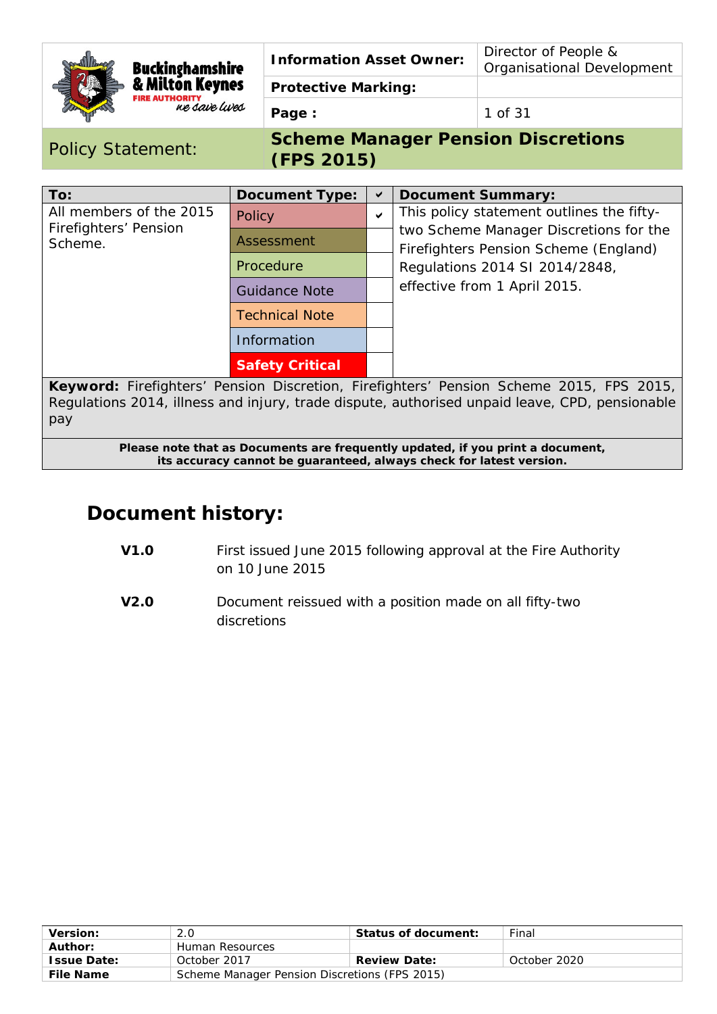|                                                           | Cahama Managar Danajan Digonatiana |                                                    |
|-----------------------------------------------------------|------------------------------------|----------------------------------------------------|
| & Milton Keynes<br><b>FIRE AUTHORITY</b><br>ne save lives | Page:                              | 1 of 31                                            |
|                                                           | <b>Protective Marking:</b>         |                                                    |
| <b>Buckinghamshire</b>                                    | <b>Information Asset Owner:</b>    | Director of People &<br>Organisational Development |

| To:                                                                                                                                                                                              | <b>Document Type:</b>  | $\checkmark$ | <b>Document Summary:</b>                                                        |  |  |  |
|--------------------------------------------------------------------------------------------------------------------------------------------------------------------------------------------------|------------------------|--------------|---------------------------------------------------------------------------------|--|--|--|
| All members of the 2015<br>Firefighters' Pension<br>Scheme.                                                                                                                                      | Policy                 | $\mathbf{v}$ | This policy statement outlines the fifty-                                       |  |  |  |
|                                                                                                                                                                                                  | Assessment             |              | two Scheme Manager Discretions for the<br>Firefighters Pension Scheme (England) |  |  |  |
|                                                                                                                                                                                                  | Procedure              |              | Regulations 2014 SI 2014/2848,                                                  |  |  |  |
|                                                                                                                                                                                                  | <b>Guidance Note</b>   |              | effective from 1 April 2015.                                                    |  |  |  |
|                                                                                                                                                                                                  | <b>Technical Note</b>  |              |                                                                                 |  |  |  |
|                                                                                                                                                                                                  | Information            |              |                                                                                 |  |  |  |
|                                                                                                                                                                                                  | <b>Safety Critical</b> |              |                                                                                 |  |  |  |
| Keyword: Firefighters' Pension Discretion, Firefighters' Pension Scheme 2015, FPS 2015,<br>Regulations 2014, illness and injury, trade dispute, authorised unpaid leave, CPD, pensionable<br>pay |                        |              |                                                                                 |  |  |  |

**Please note that as Documents are frequently updated, if you print a document, its accuracy cannot be guaranteed, always check for latest version.**

# **Document history:**

- **V1.0** First issued June 2015 following approval at the Fire Authority on 10 June 2015
- **V2.0** Document reissued with a position made on all fifty-two discretions

| Version:           | 2.0                                           | Status of document: | Final        |  |
|--------------------|-----------------------------------------------|---------------------|--------------|--|
| Author:            | Human Resources                               |                     |              |  |
| <b>Issue Date:</b> | October 2017                                  | <b>Review Date:</b> | October 2020 |  |
| <b>File Name</b>   | Scheme Manager Pension Discretions (FPS 2015) |                     |              |  |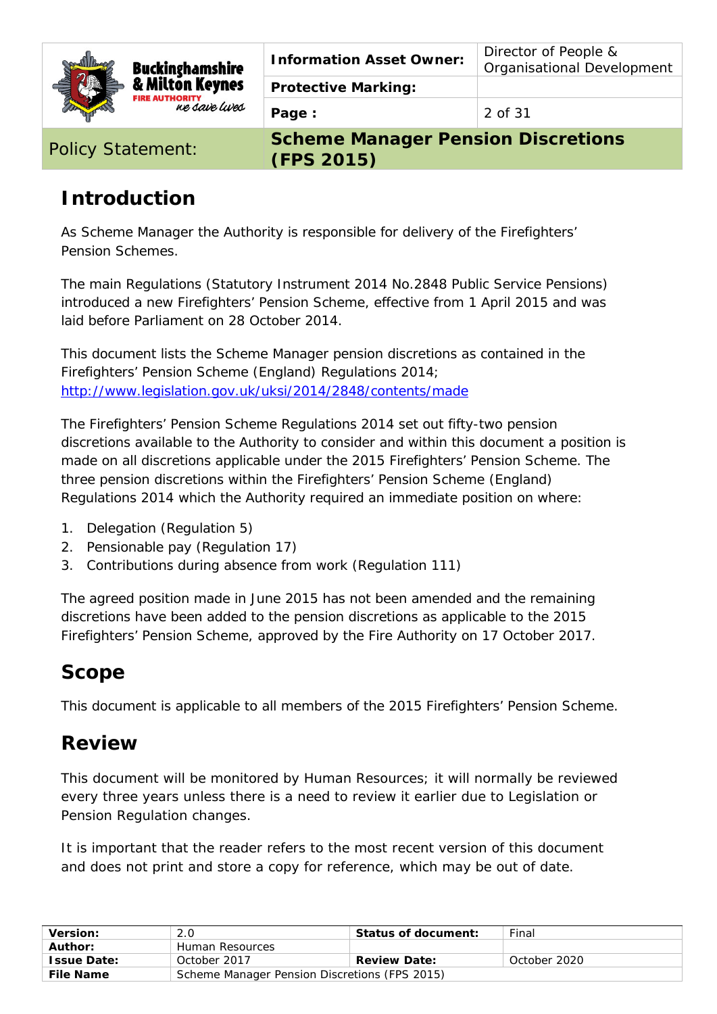|  | <b>Buckinghamshire</b><br>& Milton Keynes<br><b>FIRE AUTHORITY</b><br>ne save lives | <b>Information Asset Owner:</b> | Director of People &<br>Organisational Development |
|--|-------------------------------------------------------------------------------------|---------------------------------|----------------------------------------------------|
|  |                                                                                     | <b>Protective Marking:</b>      |                                                    |
|  |                                                                                     | Page:                           | 2 of 31                                            |

# **Introduction**

As Scheme Manager the Authority is responsible for delivery of the Firefighters' Pension Schemes.

The main Regulations (Statutory Instrument 2014 No.2848 Public Service Pensions) introduced a new Firefighters' Pension Scheme, effective from 1 April 2015 and was laid before Parliament on 28 October 2014.

This document lists the Scheme Manager pension discretions as contained in the Firefighters' Pension Scheme (England) Regulations 2014; http://www.legislation.gov.uk/uksi/2014/2848/contents/made

The Firefighters' Pension Scheme Regulations 2014 set out fifty-two pension discretions available to the Authority to consider and within this document a position is made on all discretions applicable under the 2015 Firefighters' Pension Scheme. The three pension discretions within the Firefighters' Pension Scheme (England) Regulations 2014 which the Authority required an immediate position on where:

- 1. Delegation (Regulation 5)
- 2. Pensionable pay (Regulation 17)
- 3. Contributions during absence from work (Regulation 111)

The agreed position made in June 2015 has not been amended and the remaining discretions have been added to the pension discretions as applicable to the 2015 Firefighters' Pension Scheme, approved by the Fire Authority on 17 October 2017.

# **Scope**

This document is applicable to all members of the 2015 Firefighters' Pension Scheme.

# **Review**

This document will be monitored by Human Resources; it will normally be reviewed every three years unless there is a need to review it earlier due to Legislation or Pension Regulation changes.

It is important that the reader refers to the most recent version of this document and does not print and store a copy for reference, which may be out of date.

| <b>Version:</b>    | 2.0                                           | Status of document: | Final        |
|--------------------|-----------------------------------------------|---------------------|--------------|
| Author:            | Human Resources                               |                     |              |
| <b>Issue Date:</b> | October 2017                                  | <b>Review Date:</b> | October 2020 |
| <b>File Name</b>   | Scheme Manager Pension Discretions (FPS 2015) |                     |              |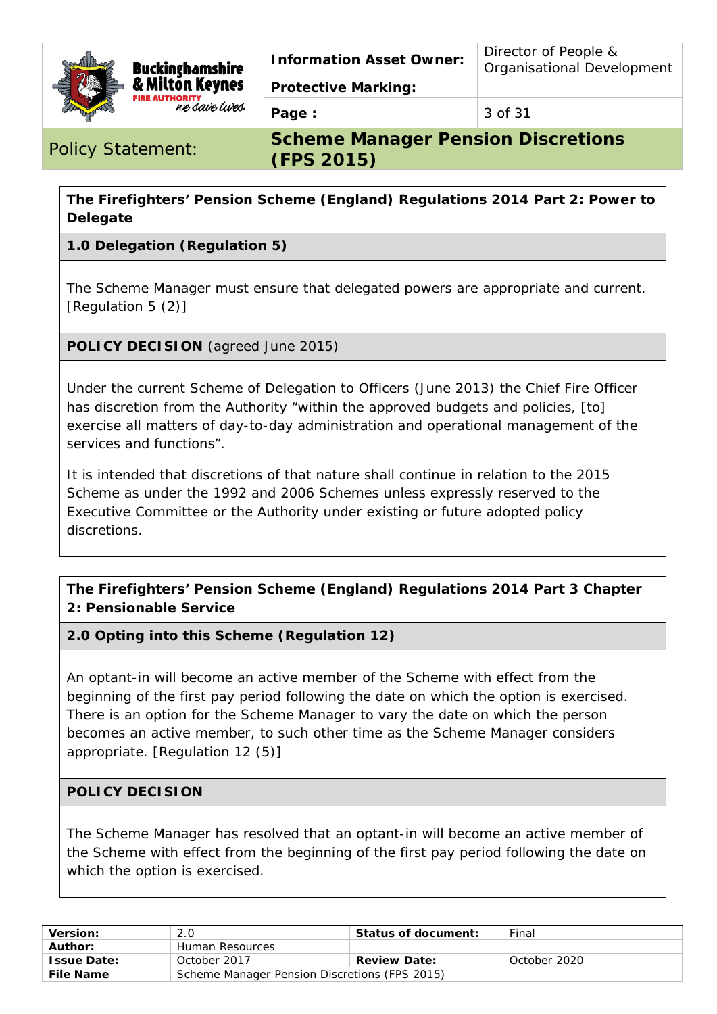|  | <b>Buckinghamshire</b><br>& Milton Keynes<br><b>FIRE AUTHORITY</b><br>ne save lives | <b>Information Asset Owner:</b> | Director of People &<br>Organisational Development |
|--|-------------------------------------------------------------------------------------|---------------------------------|----------------------------------------------------|
|  |                                                                                     | <b>Protective Marking:</b>      |                                                    |
|  |                                                                                     | Page:                           | 3 of 31                                            |

# **The Firefighters' Pension Scheme (England) Regulations 2014 Part 2: Power to Delegate**

# **1.0 Delegation (Regulation 5)**

The Scheme Manager must ensure that delegated powers are appropriate and current. [Regulation 5 (2)]

**POLICY DECISION** *(agreed June 2015)*

Under the current Scheme of Delegation to Officers (June 2013) the Chief Fire Officer has discretion from the Authority "within the approved budgets and policies, [to] exercise all matters of day-to-day administration and operational management of the services and functions".

It is intended that discretions of that nature shall continue in relation to the 2015 Scheme as under the 1992 and 2006 Schemes unless expressly reserved to the Executive Committee or the Authority under existing or future adopted policy discretions.

### **The Firefighters' Pension Scheme (England) Regulations 2014 Part 3 Chapter 2: Pensionable Service**

**2.0 Opting into this Scheme (Regulation 12)** 

An optant-in will become an active member of the Scheme with effect from the beginning of the first pay period following the date on which the option is exercised. There is an option for the Scheme Manager to vary the date on which the person becomes an active member, to such other time as the Scheme Manager considers appropriate. [Regulation 12 (5)]

### **POLICY DECISION**

The Scheme Manager has resolved that an optant-in will become an active member of the Scheme with effect from the beginning of the first pay period following the date on which the option is exercised.

| <b>Version:</b>    | 2.0                                           | Status of document: | Final        |
|--------------------|-----------------------------------------------|---------------------|--------------|
| Author:            | Human Resources                               |                     |              |
| <b>Issue Date:</b> | October 2017                                  | <b>Review Date:</b> | October 2020 |
| File Name          | Scheme Manager Pension Discretions (FPS 2015) |                     |              |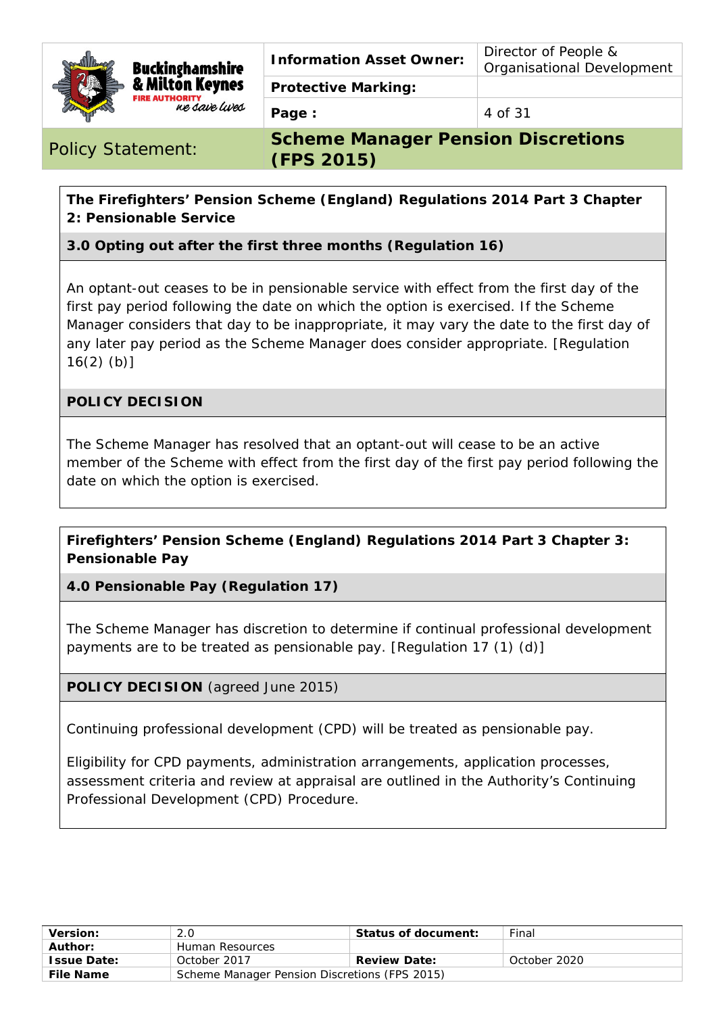

**Protective Marking:** 

**Page :**  $\begin{array}{ccc} 4 & \text{of } 31 \end{array}$ 

Policy Statement: **Scheme Manager Pension Discretions (FPS 2015)**

# **The Firefighters' Pension Scheme (England) Regulations 2014 Part 3 Chapter 2: Pensionable Service**

# **3.0 Opting out after the first three months (Regulation 16)**

An optant-out ceases to be in pensionable service with effect from the first day of the first pay period following the date on which the option is exercised. If the Scheme Manager considers that day to be inappropriate, it may vary the date to the first day of any later pay period as the Scheme Manager does consider appropriate. [Regulation 16(2) (b)]

### **POLICY DECISION**

The Scheme Manager has resolved that an optant-out will cease to be an active member of the Scheme with effect from the first day of the first pay period following the date on which the option is exercised.

### **Firefighters' Pension Scheme (England) Regulations 2014 Part 3 Chapter 3: Pensionable Pay**

**4.0 Pensionable Pay (Regulation 17)** 

The Scheme Manager has discretion to determine if continual professional development payments are to be treated as pensionable pay. [Regulation 17 (1) (d)]

### **POLICY DECISION** *(agreed June 2015)*

Continuing professional development (CPD) will be treated as pensionable pay.

Eligibility for CPD payments, administration arrangements, application processes, assessment criteria and review at appraisal are outlined in the Authority's Continuing Professional Development (CPD) Procedure.

| Version:           | 2.0                                           | Status of document: | Final        |  |
|--------------------|-----------------------------------------------|---------------------|--------------|--|
| Author:            | Human Resources                               |                     |              |  |
| <b>Issue Date:</b> | October 2017                                  | <b>Review Date:</b> | October 2020 |  |
| <b>File Name</b>   | Scheme Manager Pension Discretions (FPS 2015) |                     |              |  |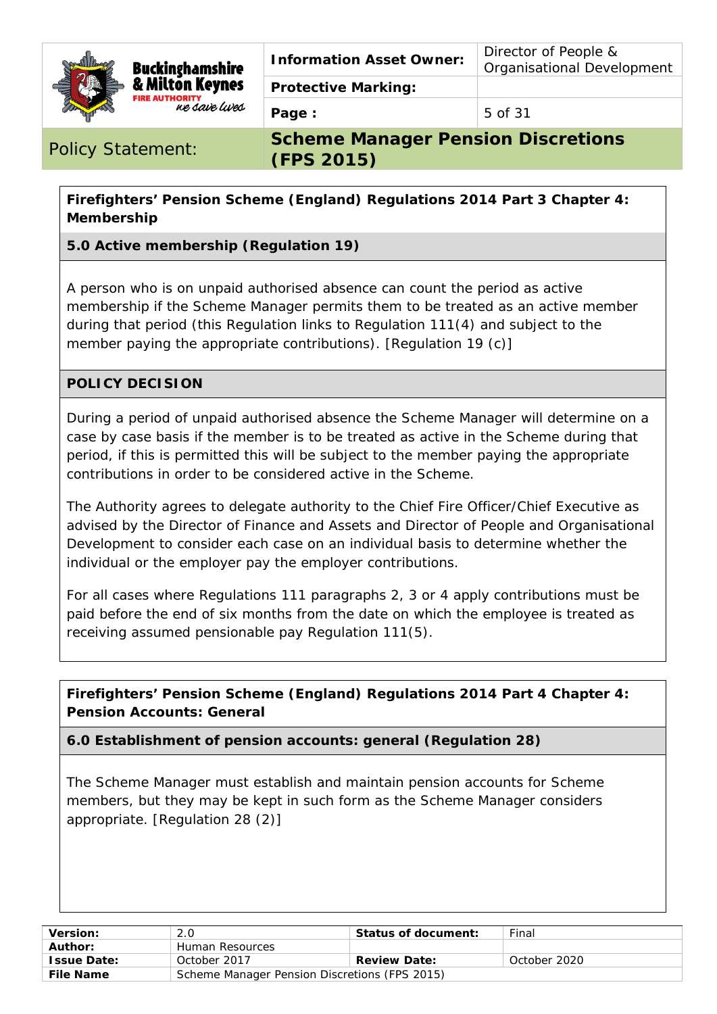

# **Firefighters' Pension Scheme (England) Regulations 2014 Part 3 Chapter 4: Membership**

### **5.0 Active membership (Regulation 19)**

A person who is on unpaid authorised absence can count the period as active membership if the Scheme Manager permits them to be treated as an active member during that period (this Regulation links to Regulation 111(4) and subject to the member paying the appropriate contributions). [Regulation 19 (c)]

### **POLICY DECISION**

During a period of unpaid authorised absence the Scheme Manager will determine on a case by case basis if the member is to be treated as active in the Scheme during that period, if this is permitted this will be subject to the member paying the appropriate contributions in order to be considered active in the Scheme.

The Authority agrees to delegate authority to the Chief Fire Officer/Chief Executive as advised by the Director of Finance and Assets and Director of People and Organisational Development to consider each case on an individual basis to determine whether the individual or the employer pay the employer contributions.

For all cases where Regulations 111 paragraphs 2, 3 or 4 apply contributions must be paid before the end of six months from the date on which the employee is treated as receiving assumed pensionable pay Regulation 111(5).

**Firefighters' Pension Scheme (England) Regulations 2014 Part 4 Chapter 4: Pension Accounts: General** 

**6.0 Establishment of pension accounts: general (Regulation 28)** 

The Scheme Manager must establish and maintain pension accounts for Scheme members, but they may be kept in such form as the Scheme Manager considers appropriate. [Regulation 28 (2)]

| Version:           | 2.0                                           | Status of document: | Final        |
|--------------------|-----------------------------------------------|---------------------|--------------|
| Author:            | Human Resources                               |                     |              |
| <b>Issue Date:</b> | October 2017                                  | <b>Review Date:</b> | October 2020 |
| <b>File Name</b>   | Scheme Manager Pension Discretions (FPS 2015) |                     |              |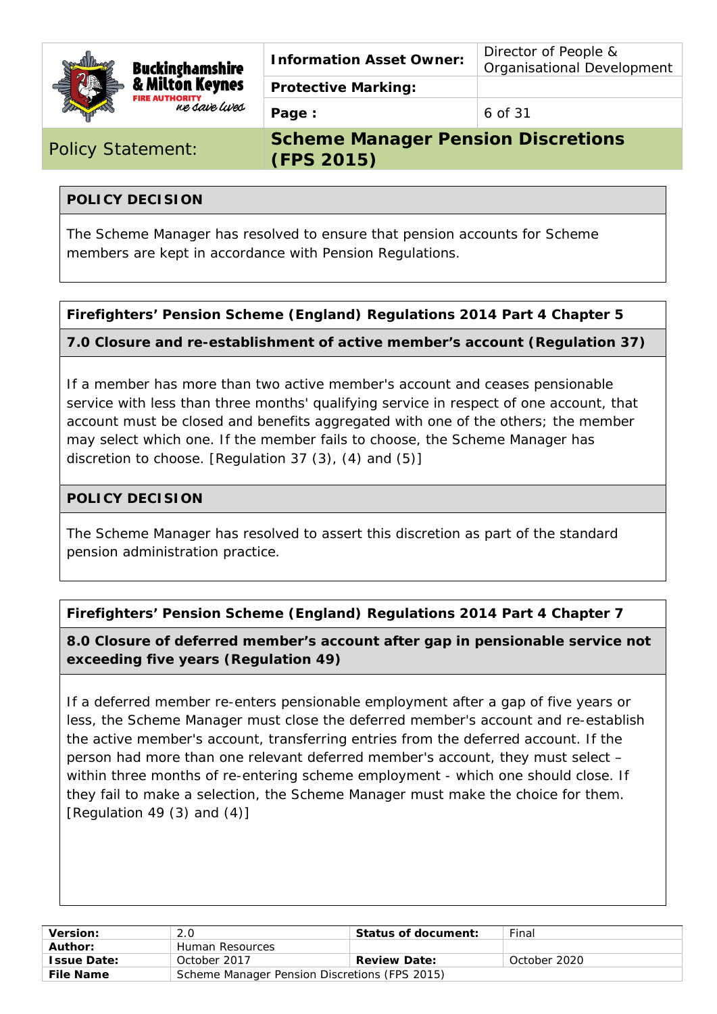

**Buckinghamshire** & Milton Keynes <mark>IORITY</mark><br>Ke *Saire Lures*  **Information Asset Owner: Director of People &** Organisational Development

**Protective Marking:** 

**Page :** 6 of 31

Policy Statement: **Scheme Manager Pension Discretions (FPS 2015)**

# **POLICY DECISION**

The Scheme Manager has resolved to ensure that pension accounts for Scheme members are kept in accordance with Pension Regulations.

### **Firefighters' Pension Scheme (England) Regulations 2014 Part 4 Chapter 5**

# **7.0 Closure and re-establishment of active member's account (Regulation 37)**

If a member has more than two active member's account and ceases pensionable service with less than three months' qualifying service in respect of one account, that account must be closed and benefits aggregated with one of the others; the member may select which one. If the member fails to choose, the Scheme Manager has discretion to choose. [Regulation 37 (3), (4) and (5)]

### **POLICY DECISION**

The Scheme Manager has resolved to assert this discretion as part of the standard pension administration practice.

# **Firefighters' Pension Scheme (England) Regulations 2014 Part 4 Chapter 7**

**8.0 Closure of deferred member's account after gap in pensionable service not exceeding five years (Regulation 49)** 

If a deferred member re-enters pensionable employment after a gap of five years or less, the Scheme Manager must close the deferred member's account and re-establish the active member's account, transferring entries from the deferred account. If the person had more than one relevant deferred member's account, they must select – within three months of re-entering scheme employment - which one should close. If they fail to make a selection, the Scheme Manager must make the choice for them. [Regulation 49 (3) and (4)]

| <b>Version:</b>    |                                               | Status of document: | Final        |
|--------------------|-----------------------------------------------|---------------------|--------------|
| <b>Author:</b>     | Human Resources                               |                     |              |
| <b>Issue Date:</b> | October 2017                                  | <b>Review Date:</b> | October 2020 |
| <b>File Name</b>   | Scheme Manager Pension Discretions (FPS 2015) |                     |              |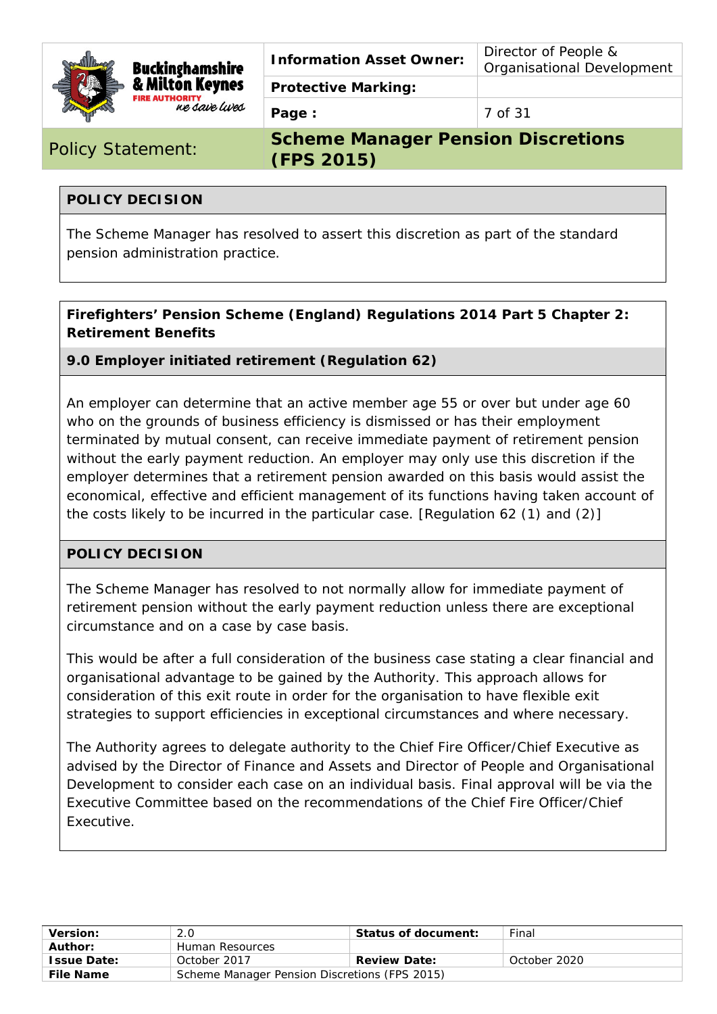

**Buckinghamshire** & Milton Keynes <mark>IORITY</mark><br>NE S*ave Lues* 

**Information Asset Owner: Director of People &** Organisational Development

**Protective Marking:** 

**Page :**  $\vert$  7 of 31

Policy Statement: **Scheme Manager Pension Discretions (FPS 2015)**

# **POLICY DECISION**

The Scheme Manager has resolved to assert this discretion as part of the standard pension administration practice.

#### **Firefighters' Pension Scheme (England) Regulations 2014 Part 5 Chapter 2: Retirement Benefits**

### **9.0 Employer initiated retirement (Regulation 62)**

An employer can determine that an active member age 55 or over but under age 60 who on the grounds of business efficiency is dismissed or has their employment terminated by mutual consent, can receive immediate payment of retirement pension without the early payment reduction. An employer may only use this discretion if the employer determines that a retirement pension awarded on this basis would assist the economical, effective and efficient management of its functions having taken account of the costs likely to be incurred in the particular case. [Regulation 62 (1) and (2)]

### **POLICY DECISION**

The Scheme Manager has resolved to not normally allow for immediate payment of retirement pension without the early payment reduction unless there are exceptional circumstance and on a case by case basis.

This would be after a full consideration of the business case stating a clear financial and organisational advantage to be gained by the Authority. This approach allows for consideration of this exit route in order for the organisation to have flexible exit strategies to support efficiencies in exceptional circumstances and where necessary.

The Authority agrees to delegate authority to the Chief Fire Officer/Chief Executive as advised by the Director of Finance and Assets and Director of People and Organisational Development to consider each case on an individual basis. Final approval will be via the Executive Committee based on the recommendations of the Chief Fire Officer/Chief Executive.

| Version:           | 2.0                                           | Status of document: | Final        |  |
|--------------------|-----------------------------------------------|---------------------|--------------|--|
| Author:            | Human Resources                               |                     |              |  |
| <b>Issue Date:</b> | October 2017                                  | <b>Review Date:</b> | October 2020 |  |
| <b>File Name</b>   | Scheme Manager Pension Discretions (FPS 2015) |                     |              |  |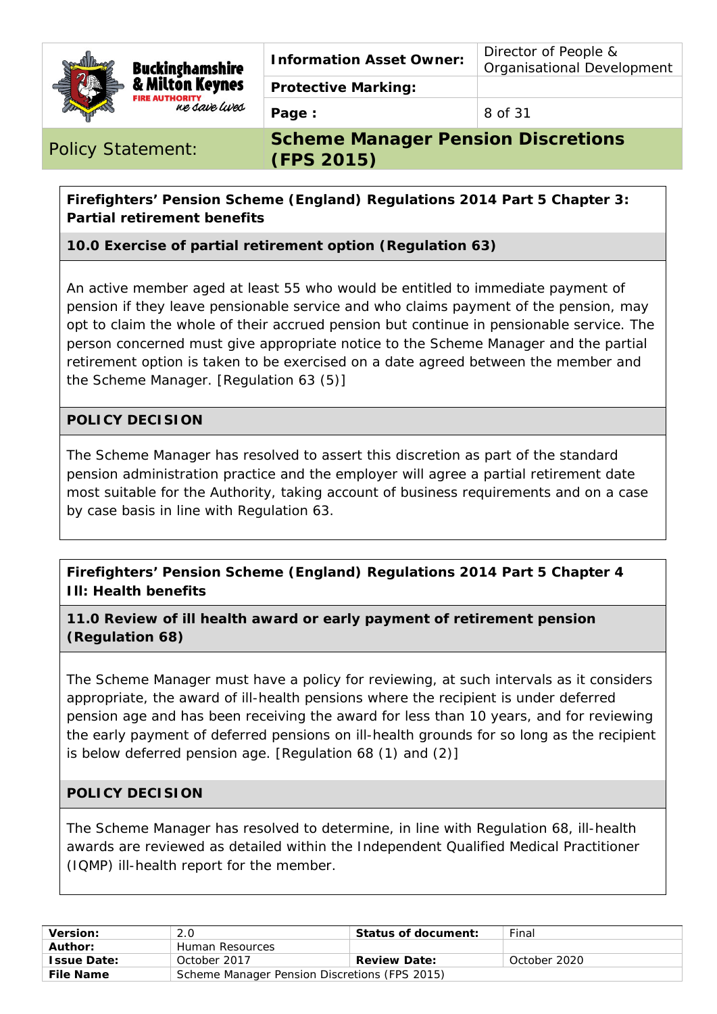

**Protective Marking:** 

ne save lives

Policy Statement: **Scheme Manager Pension Discretions (FPS 2015)**

# **Firefighters' Pension Scheme (England) Regulations 2014 Part 5 Chapter 3: Partial retirement benefits**

**10.0 Exercise of partial retirement option (Regulation 63)** 

An active member aged at least 55 who would be entitled to immediate payment of pension if they leave pensionable service and who claims payment of the pension, may opt to claim the whole of their accrued pension but continue in pensionable service. The person concerned must give appropriate notice to the Scheme Manager and the partial retirement option is taken to be exercised on a date agreed between the member and the Scheme Manager. [Regulation 63 (5)]

# **POLICY DECISION**

The Scheme Manager has resolved to assert this discretion as part of the standard pension administration practice and the employer will agree a partial retirement date most suitable for the Authority, taking account of business requirements and on a case by case basis in line with Regulation 63.

**Firefighters' Pension Scheme (England) Regulations 2014 Part 5 Chapter 4 Ill: Health benefits** 

**11.0 Review of ill health award or early payment of retirement pension (Regulation 68)** 

The Scheme Manager must have a policy for reviewing, at such intervals as it considers appropriate, the award of ill-health pensions where the recipient is under deferred pension age and has been receiving the award for less than 10 years, and for reviewing the early payment of deferred pensions on ill-health grounds for so long as the recipient is below deferred pension age. [Regulation 68 (1) and (2)]

### **POLICY DECISION**

The Scheme Manager has resolved to determine, in line with Regulation 68, ill-health awards are reviewed as detailed within the Independent Qualified Medical Practitioner (IQMP) ill-health report for the member.

| <b>Version:</b>    | 2.0                                           | Status of document: | Final        |  |
|--------------------|-----------------------------------------------|---------------------|--------------|--|
| Author:            | Human Resources                               |                     |              |  |
| <b>Issue Date:</b> | October 2017                                  | <b>Review Date:</b> | October 2020 |  |
| <b>File Name</b>   | Scheme Manager Pension Discretions (FPS 2015) |                     |              |  |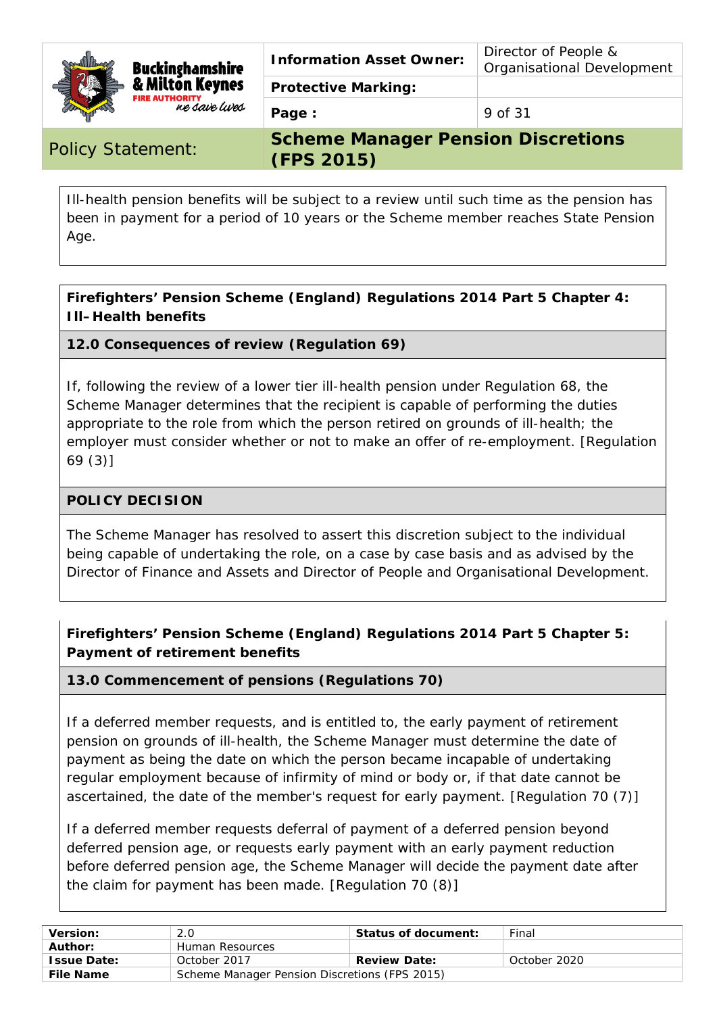|  | <b>Buckinghamshire</b>                   | <b>Information Asset Owner:</b> | Director of People &<br><b>Organisational Development</b> |
|--|------------------------------------------|---------------------------------|-----------------------------------------------------------|
|  | & Milton Keynes<br><b>FIRE AUTHORITY</b> | <b>Protective Marking:</b>      |                                                           |
|  | ne save lives                            | Page:                           | 9 of 31                                                   |

**Page :** 9 of 31

# Policy Statement: **Scheme Manager Pension Discretions (FPS 2015)**

Ill-health pension benefits will be subject to a review until such time as the pension has been in payment for a period of 10 years or the Scheme member reaches State Pension Age.

**Firefighters' Pension Scheme (England) Regulations 2014 Part 5 Chapter 4: Ill–Health benefits** 

### **12.0 Consequences of review (Regulation 69)**

If, following the review of a lower tier ill-health pension under Regulation 68, the Scheme Manager determines that the recipient is capable of performing the duties appropriate to the role from which the person retired on grounds of ill-health; the employer must consider whether or not to make an offer of re-employment. [Regulation 69 (3)]

#### **POLICY DECISION**

The Scheme Manager has resolved to assert this discretion subject to the individual being capable of undertaking the role, on a case by case basis and as advised by the Director of Finance and Assets and Director of People and Organisational Development.

### **Firefighters' Pension Scheme (England) Regulations 2014 Part 5 Chapter 5: Payment of retirement benefits**

### **13.0 Commencement of pensions (Regulations 70)**

If a deferred member requests, and is entitled to, the early payment of retirement pension on grounds of ill-health, the Scheme Manager must determine the date of payment as being the date on which the person became incapable of undertaking regular employment because of infirmity of mind or body or, if that date cannot be ascertained, the date of the member's request for early payment. [Regulation 70 (7)]

If a deferred member requests deferral of payment of a deferred pension beyond deferred pension age, or requests early payment with an early payment reduction before deferred pension age, the Scheme Manager will decide the payment date after the claim for payment has been made. [Regulation 70 (8)]

| Version:           | 2.0                                           | Status of document: | Final        |
|--------------------|-----------------------------------------------|---------------------|--------------|
| Author:            | Human Resources                               |                     |              |
| <b>Issue Date:</b> | October 2017                                  | <b>Review Date:</b> | October 2020 |
| <b>File Name</b>   | Scheme Manager Pension Discretions (FPS 2015) |                     |              |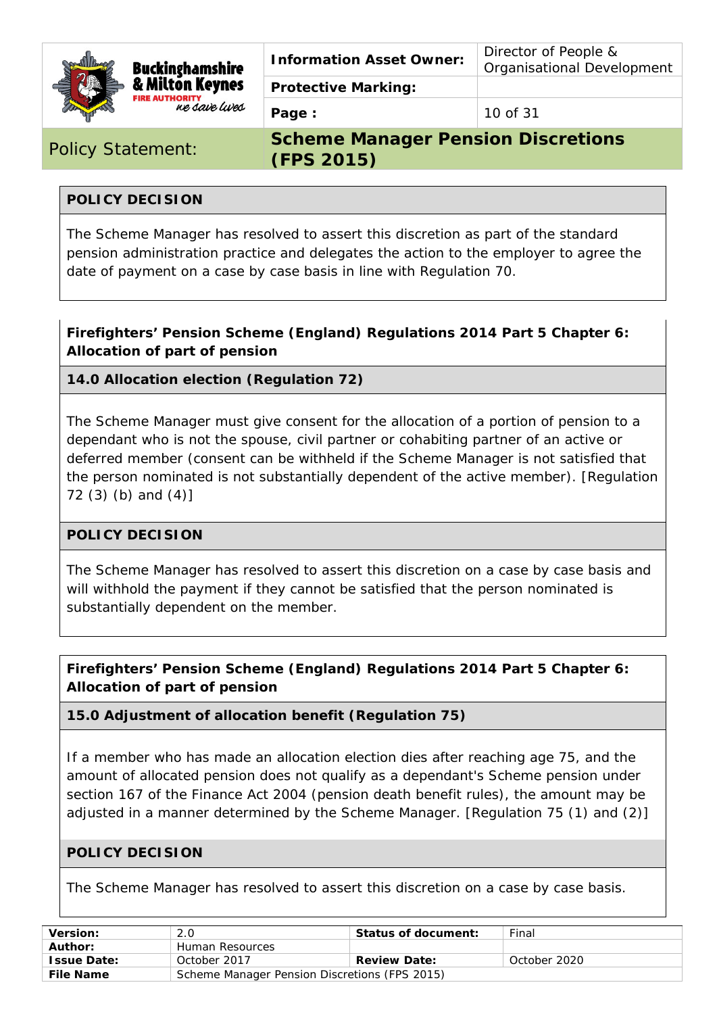

**Information Asset Owner:** Director of People & Organisational Development

**Protective Marking:** 

**Page :** 10 of 31

Policy Statement: **Scheme Manager Pension Discretions (FPS 2015)**

# **POLICY DECISION**

The Scheme Manager has resolved to assert this discretion as part of the standard pension administration practice and delegates the action to the employer to agree the date of payment on a case by case basis in line with Regulation 70.

# **Firefighters' Pension Scheme (England) Regulations 2014 Part 5 Chapter 6: Allocation of part of pension**

# **14.0 Allocation election (Regulation 72)**

<mark>IORITY</mark><br>Ke *Saire Lures* 

The Scheme Manager must give consent for the allocation of a portion of pension to a dependant who is not the spouse, civil partner or cohabiting partner of an active or deferred member (consent can be withheld if the Scheme Manager is not satisfied that the person nominated is not substantially dependent of the active member). [Regulation 72 (3) (b) and (4)]

### **POLICY DECISION**

The Scheme Manager has resolved to assert this discretion on a case by case basis and will withhold the payment if they cannot be satisfied that the person nominated is substantially dependent on the member.

# **Firefighters' Pension Scheme (England) Regulations 2014 Part 5 Chapter 6: Allocation of part of pension**

### **15.0 Adjustment of allocation benefit (Regulation 75)**

If a member who has made an allocation election dies after reaching age 75, and the amount of allocated pension does not qualify as a dependant's Scheme pension under section 167 of the Finance Act 2004 (pension death benefit rules), the amount may be adjusted in a manner determined by the Scheme Manager. [Regulation 75 (1) and (2)]

#### **POLICY DECISION**

The Scheme Manager has resolved to assert this discretion on a case by case basis.

| Version:           | 2.0             | Status of document:                           | Final        |  |
|--------------------|-----------------|-----------------------------------------------|--------------|--|
| Author:            | Human Resources |                                               |              |  |
| <b>Issue Date:</b> | October 2017    | <b>Review Date:</b>                           | October 2020 |  |
| <b>File Name</b>   |                 | Scheme Manager Pension Discretions (FPS 2015) |              |  |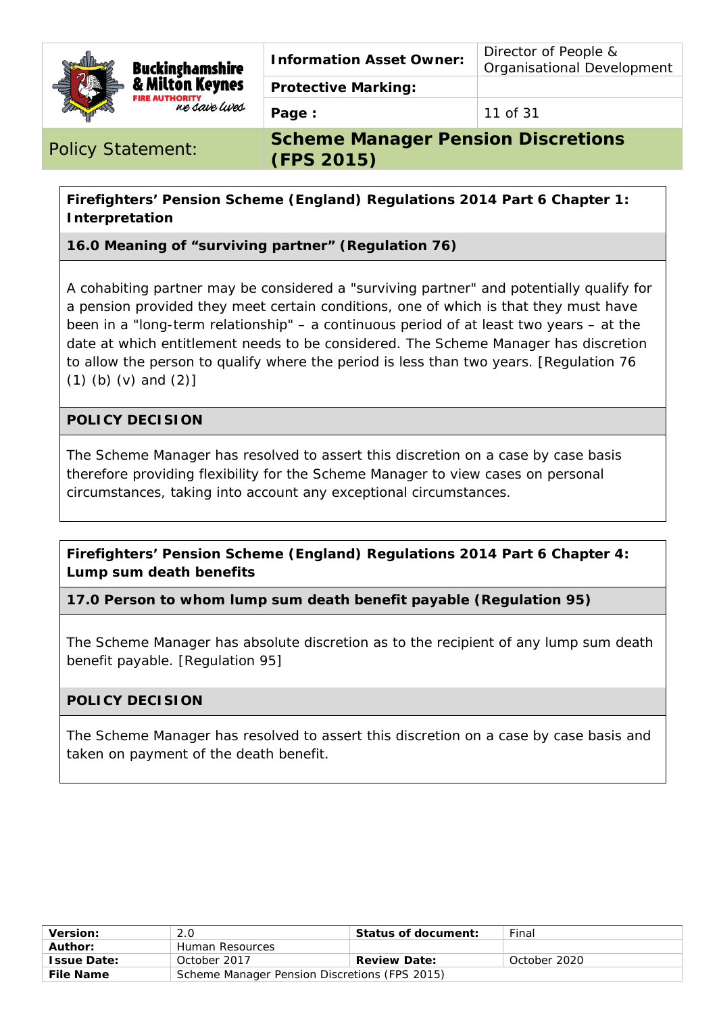

**Protective Marking:** 

Policy Statement: **Scheme Manager Pension Discretions (FPS 2015)**

# **Firefighters' Pension Scheme (England) Regulations 2014 Part 6 Chapter 1: Interpretation**

# **16.0 Meaning of "surviving partner" (Regulation 76)**

A cohabiting partner may be considered a "surviving partner" and potentially qualify for a pension provided they meet certain conditions, one of which is that they must have been in a "long-term relationship" – a continuous period of at least two years – at the date at which entitlement needs to be considered. The Scheme Manager has discretion to allow the person to qualify where the period is less than two years. [Regulation 76 (1) (b) (v) and (2)]

# **POLICY DECISION**

The Scheme Manager has resolved to assert this discretion on a case by case basis therefore providing flexibility for the Scheme Manager to view cases on personal circumstances, taking into account any exceptional circumstances.

**Firefighters' Pension Scheme (England) Regulations 2014 Part 6 Chapter 4: Lump sum death benefits** 

**17.0 Person to whom lump sum death benefit payable (Regulation 95)** 

The Scheme Manager has absolute discretion as to the recipient of any lump sum death benefit payable. [Regulation 95]

### **POLICY DECISION**

The Scheme Manager has resolved to assert this discretion on a case by case basis and taken on payment of the death benefit.

| Version:           | 2.0                                           | Status of document: | Final        |
|--------------------|-----------------------------------------------|---------------------|--------------|
| Author:            | Human Resources                               |                     |              |
| <b>Issue Date:</b> | October 2017                                  | <b>Review Date:</b> | October 2020 |
| <b>File Name</b>   | Scheme Manager Pension Discretions (FPS 2015) |                     |              |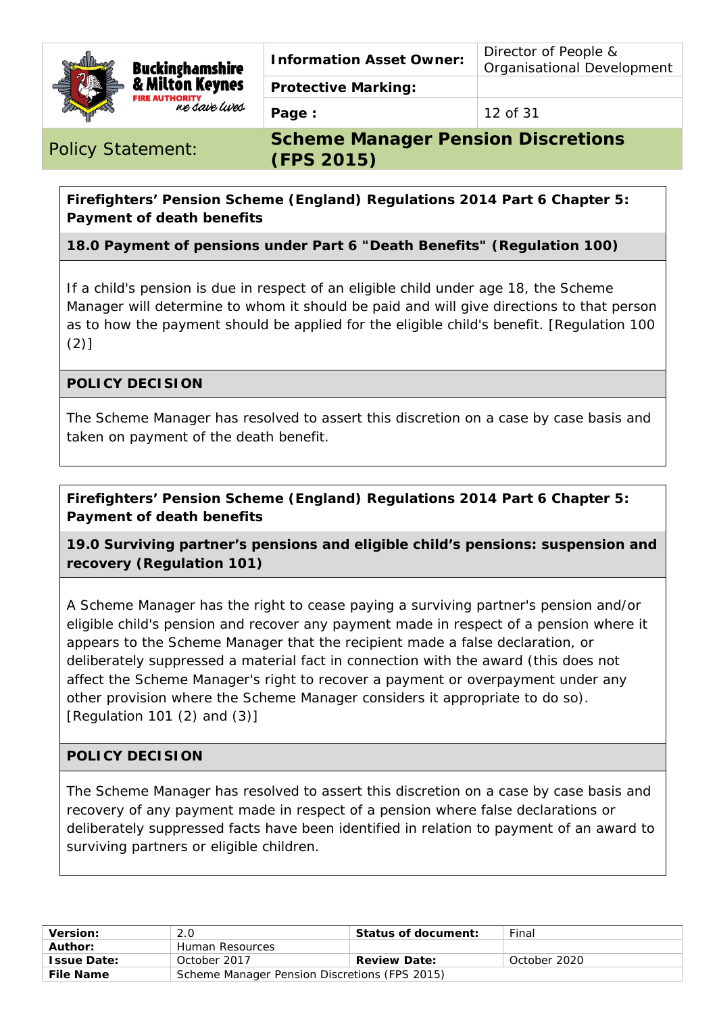

Organisational Development

**Protective Marking:** 

Policy Statement: **Scheme Manager Pension Discretions (FPS 2015)**

# **Firefighters' Pension Scheme (England) Regulations 2014 Part 6 Chapter 5: Payment of death benefits**

**18.0 Payment of pensions under Part 6 "Death Benefits" (Regulation 100)** 

If a child's pension is due in respect of an eligible child under age 18, the Scheme Manager will determine to whom it should be paid and will give directions to that person as to how the payment should be applied for the eligible child's benefit. [Regulation 100 (2)]

# **POLICY DECISION**

The Scheme Manager has resolved to assert this discretion on a case by case basis and taken on payment of the death benefit.

# **Firefighters' Pension Scheme (England) Regulations 2014 Part 6 Chapter 5: Payment of death benefits**

**19.0 Surviving partner's pensions and eligible child's pensions: suspension and recovery (Regulation 101)** 

A Scheme Manager has the right to cease paying a surviving partner's pension and/or eligible child's pension and recover any payment made in respect of a pension where it appears to the Scheme Manager that the recipient made a false declaration, or deliberately suppressed a material fact in connection with the award (this does not affect the Scheme Manager's right to recover a payment or overpayment under any other provision where the Scheme Manager considers it appropriate to do so). [Regulation 101 (2) and (3)]

### **POLICY DECISION**

The Scheme Manager has resolved to assert this discretion on a case by case basis and recovery of any payment made in respect of a pension where false declarations or deliberately suppressed facts have been identified in relation to payment of an award to surviving partners or eligible children.

| Version:           | 2.0                                           | Status of document: | Final        |
|--------------------|-----------------------------------------------|---------------------|--------------|
| Author:            | Human Resources                               |                     |              |
| <b>Issue Date:</b> | October 2017                                  | <b>Review Date:</b> | October 2020 |
| <b>File Name</b>   | Scheme Manager Pension Discretions (FPS 2015) |                     |              |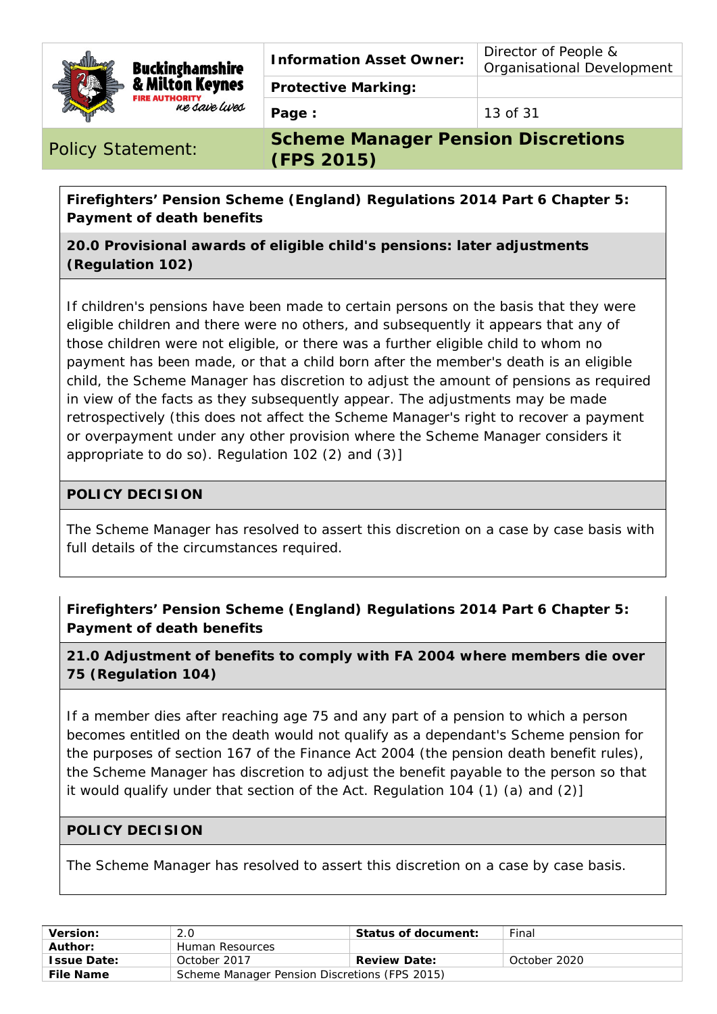

**Information Asset Owner:** Director of People &

Organisational Development

**Protective Marking:** 

Policy Statement: **Scheme Manager Pension Discretions (FPS 2015)**

**Firefighters' Pension Scheme (England) Regulations 2014 Part 6 Chapter 5: Payment of death benefits** 

**20.0 Provisional awards of eligible child's pensions: later adjustments (Regulation 102)** 

If children's pensions have been made to certain persons on the basis that they were eligible children and there were no others, and subsequently it appears that any of those children were not eligible, or there was a further eligible child to whom no payment has been made, or that a child born after the member's death is an eligible child, the Scheme Manager has discretion to adjust the amount of pensions as required in view of the facts as they subsequently appear. The adjustments may be made retrospectively (this does not affect the Scheme Manager's right to recover a payment or overpayment under any other provision where the Scheme Manager considers it appropriate to do so). Regulation 102 (2) and (3)]

#### **POLICY DECISION**

The Scheme Manager has resolved to assert this discretion on a case by case basis with full details of the circumstances required.

# **Firefighters' Pension Scheme (England) Regulations 2014 Part 6 Chapter 5: Payment of death benefits**

**21.0 Adjustment of benefits to comply with FA 2004 where members die over 75 (Regulation 104)** 

If a member dies after reaching age 75 and any part of a pension to which a person becomes entitled on the death would not qualify as a dependant's Scheme pension for the purposes of section 167 of the Finance Act 2004 (the pension death benefit rules), the Scheme Manager has discretion to adjust the benefit payable to the person so that it would qualify under that section of the Act. Regulation 104 (1) (a) and (2)]

#### **POLICY DECISION**

The Scheme Manager has resolved to assert this discretion on a case by case basis.

| <b>Version:</b>    | 2.0                                           | Status of document: | Final        |
|--------------------|-----------------------------------------------|---------------------|--------------|
| Author:            | Human Resources                               |                     |              |
| <b>Issue Date:</b> | October 2017                                  | <b>Review Date:</b> | October 2020 |
| <b>File Name</b>   | Scheme Manager Pension Discretions (FPS 2015) |                     |              |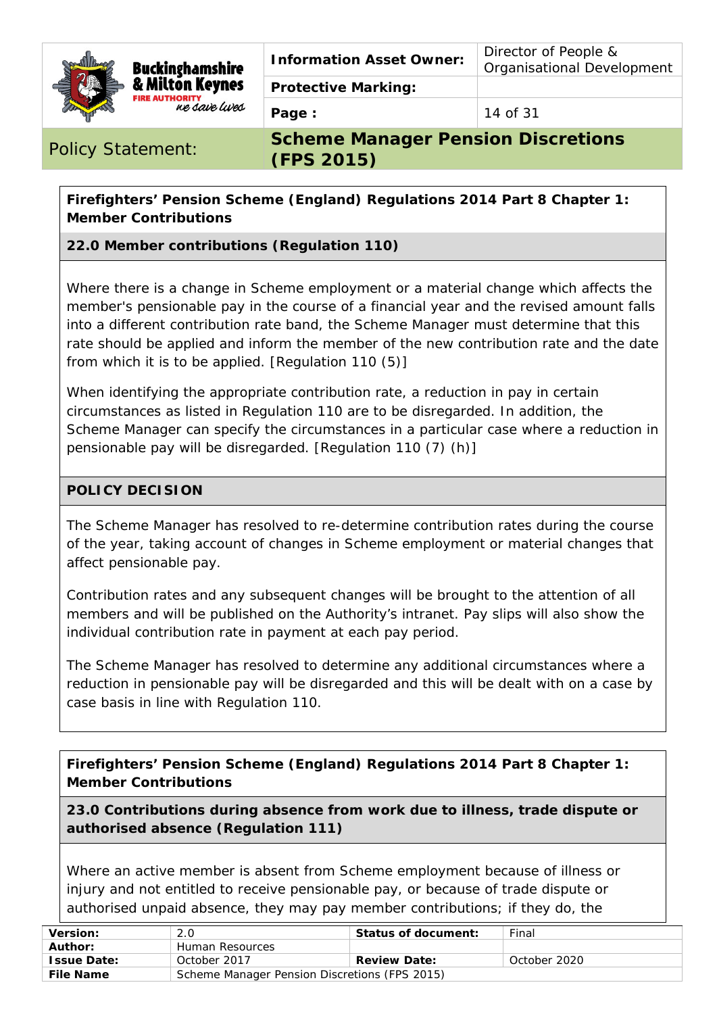|  | Buckinghamshire<br>& Milton Keynes | <b>Information Asset Owner:</b> | Director of People &<br><b>Organisational Development</b> |  |
|--|------------------------------------|---------------------------------|-----------------------------------------------------------|--|
|  | <b>FIRE AUTHORITY</b>              | <b>Protective Marking:</b>      |                                                           |  |
|  | ne save lives                      | Page:                           | 14 of 31                                                  |  |

# **Firefighters' Pension Scheme (England) Regulations 2014 Part 8 Chapter 1: Member Contributions**

### **22.0 Member contributions (Regulation 110)**

Where there is a change in Scheme employment or a material change which affects the member's pensionable pay in the course of a financial year and the revised amount falls into a different contribution rate band, the Scheme Manager must determine that this rate should be applied and inform the member of the new contribution rate and the date from which it is to be applied. [Regulation 110 (5)]

When identifying the appropriate contribution rate, a reduction in pay in certain circumstances as listed in Regulation 110 are to be disregarded. In addition, the Scheme Manager can specify the circumstances in a particular case where a reduction in pensionable pay will be disregarded. [Regulation 110 (7) (h)]

#### **POLICY DECISION**

The Scheme Manager has resolved to re-determine contribution rates during the course of the year, taking account of changes in Scheme employment or material changes that affect pensionable pay.

Contribution rates and any subsequent changes will be brought to the attention of all members and will be published on the Authority's intranet. Pay slips will also show the individual contribution rate in payment at each pay period.

The Scheme Manager has resolved to determine any additional circumstances where a reduction in pensionable pay will be disregarded and this will be dealt with on a case by case basis in line with Regulation 110.

**Firefighters' Pension Scheme (England) Regulations 2014 Part 8 Chapter 1: Member Contributions** 

**23.0 Contributions during absence from work due to illness, trade dispute or authorised absence (Regulation 111)** 

Where an active member is absent from Scheme employment because of illness or injury and not entitled to receive pensionable pay, or because of trade dispute or authorised unpaid absence, they may pay member contributions; if they do, the

| <b>Version:</b>    |                                               | Status of document: | Final        |
|--------------------|-----------------------------------------------|---------------------|--------------|
| Author:            | Human Resources                               |                     |              |
| <b>Issue Date:</b> | October 2017                                  | <b>Review Date:</b> | October 2020 |
| <b>File Name</b>   | Scheme Manager Pension Discretions (FPS 2015) |                     |              |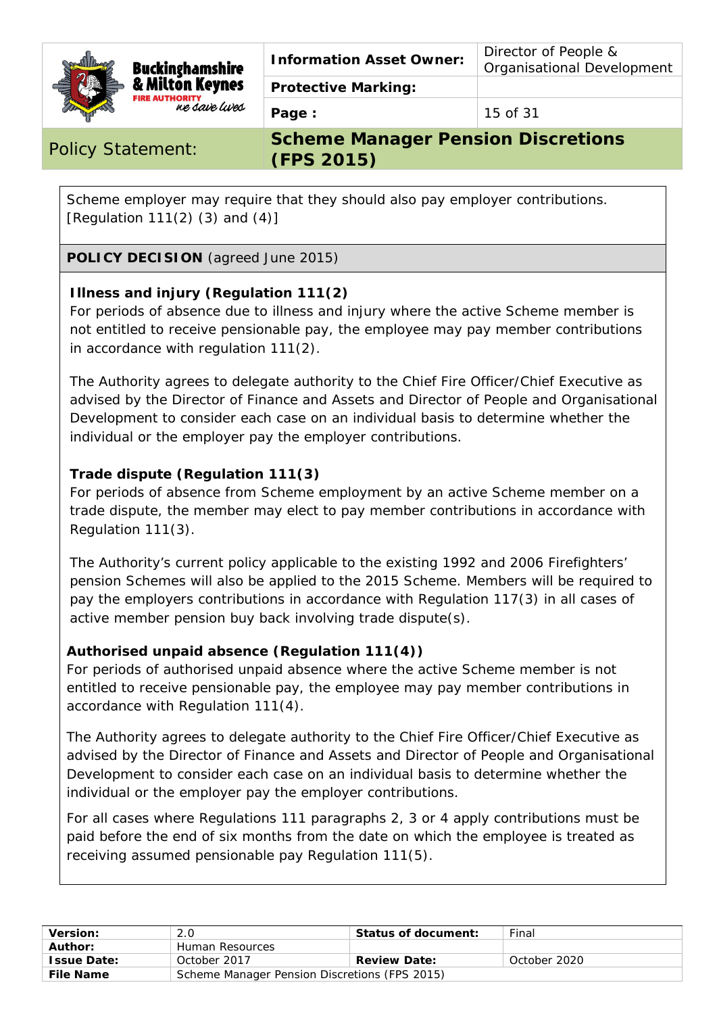

**Buckinghamshire** & Milton Keynes <mark>IORITY</mark><br>NE S*ave Lues* 

**Protective Marking:** 

**Page :** 15 of 31

Policy Statement: **Scheme Manager Pension Discretions (FPS 2015)**

Scheme employer may require that they should also pay employer contributions. [Regulation 111(2) (3) and  $(4)$ ]

**POLICY DECISION** (agreed June 2015)

# **Illness and injury (Regulation 111(2)**

For periods of absence due to illness and injury where the active Scheme member is not entitled to receive pensionable pay, the employee may pay member contributions in accordance with regulation 111(2).

The Authority agrees to delegate authority to the Chief Fire Officer/Chief Executive as advised by the Director of Finance and Assets and Director of People and Organisational Development to consider each case on an individual basis to determine whether the individual or the employer pay the employer contributions.

# **Trade dispute (Regulation 111(3)**

For periods of absence from Scheme employment by an active Scheme member on a trade dispute, the member may elect to pay member contributions in accordance with Regulation 111(3).

The Authority's current policy applicable to the existing 1992 and 2006 Firefighters' pension Schemes will also be applied to the 2015 Scheme. Members will be required to pay the employers contributions in accordance with Regulation 117(3) in all cases of active member pension buy back involving trade dispute(s).

# **Authorised unpaid absence (Regulation 111(4))**

For periods of authorised unpaid absence where the active Scheme member is not entitled to receive pensionable pay, the employee may pay member contributions in accordance with Regulation 111(4).

The Authority agrees to delegate authority to the Chief Fire Officer/Chief Executive as advised by the Director of Finance and Assets and Director of People and Organisational Development to consider each case on an individual basis to determine whether the individual or the employer pay the employer contributions.

For all cases where Regulations 111 paragraphs 2, 3 or 4 apply contributions must be paid before the end of six months from the date on which the employee is treated as receiving assumed pensionable pay Regulation 111(5).

| Version:           | 2.0                                           | Status of document: | Final        |
|--------------------|-----------------------------------------------|---------------------|--------------|
| Author:            | Human Resources                               |                     |              |
| <b>Issue Date:</b> | October 2017                                  | <b>Review Date:</b> | October 2020 |
| <b>File Name</b>   | Scheme Manager Pension Discretions (FPS 2015) |                     |              |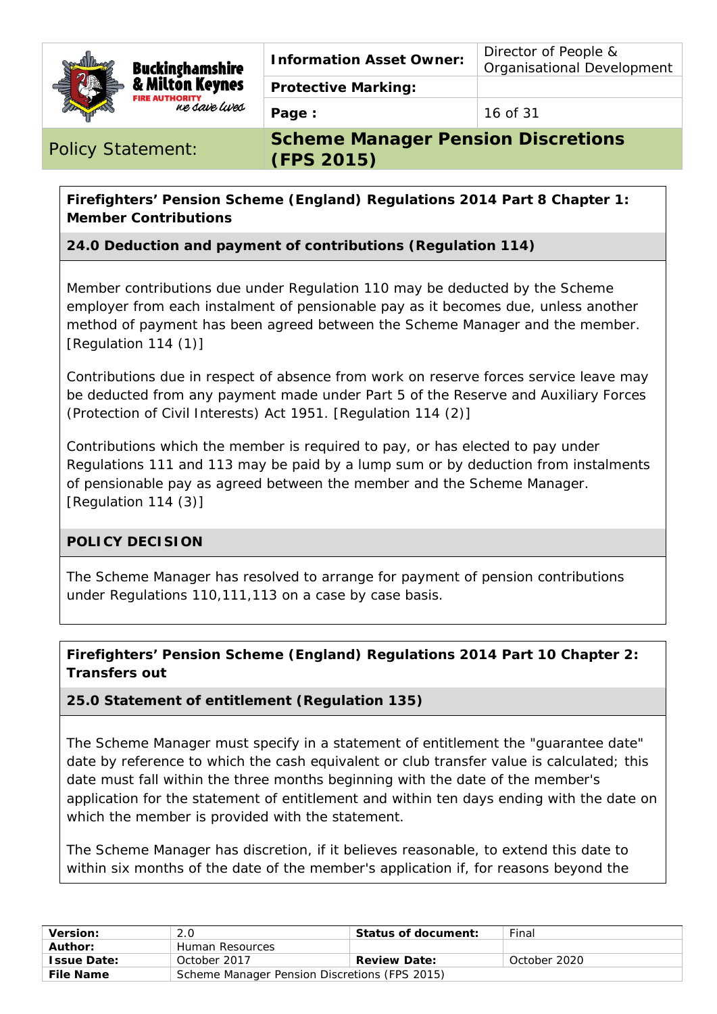

**Protective Marking:** 

Policy Statement: **Scheme Manager Pension Discretions (FPS 2015)**

# **Firefighters' Pension Scheme (England) Regulations 2014 Part 8 Chapter 1: Member Contributions**

# **24.0 Deduction and payment of contributions (Regulation 114)**

Member contributions due under Regulation 110 may be deducted by the Scheme employer from each instalment of pensionable pay as it becomes due, unless another method of payment has been agreed between the Scheme Manager and the member. [Regulation 114 (1)]

Contributions due in respect of absence from work on reserve forces service leave may be deducted from any payment made under Part 5 of the Reserve and Auxiliary Forces (Protection of Civil Interests) Act 1951. [Regulation 114 (2)]

Contributions which the member is required to pay, or has elected to pay under Regulations 111 and 113 may be paid by a lump sum or by deduction from instalments of pensionable pay as agreed between the member and the Scheme Manager. [Regulation 114 (3)]

### **POLICY DECISION**

The Scheme Manager has resolved to arrange for payment of pension contributions under Regulations 110,111,113 on a case by case basis.

# **Firefighters' Pension Scheme (England) Regulations 2014 Part 10 Chapter 2: Transfers out**

### **25.0 Statement of entitlement (Regulation 135)**

The Scheme Manager must specify in a statement of entitlement the "guarantee date" date by reference to which the cash equivalent or club transfer value is calculated; this date must fall within the three months beginning with the date of the member's application for the statement of entitlement and within ten days ending with the date on which the member is provided with the statement.

The Scheme Manager has discretion, if it believes reasonable, to extend this date to within six months of the date of the member's application if, for reasons beyond the

| <b>Version:</b>    | 2.0                                           | Status of document: | Final        |
|--------------------|-----------------------------------------------|---------------------|--------------|
| Author:            | Human Resources                               |                     |              |
| <b>Issue Date:</b> | October 2017                                  | <b>Review Date:</b> | October 2020 |
| <b>File Name</b>   | Scheme Manager Pension Discretions (FPS 2015) |                     |              |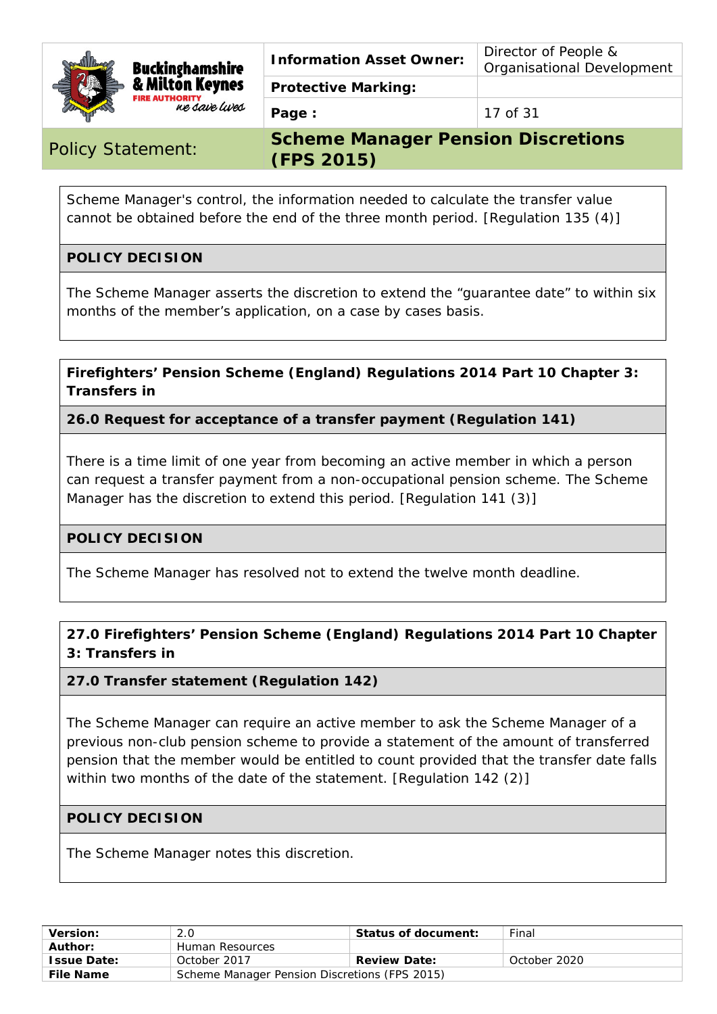

**Buckinghamshire** & Milton Keynes ne save lives

**Protective Marking:** 

**Page :** 17 of 31

# **Policy Statement:**

| <b>Scheme Manager Pension Discretions</b> |  |
|-------------------------------------------|--|
| (FPS 2015)                                |  |

Scheme Manager's control, the information needed to calculate the transfer value cannot be obtained before the end of the three month period. [Regulation 135 (4)]

# **POLICY DECISION**

The Scheme Manager asserts the discretion to extend the "guarantee date" to within six months of the member's application, on a case by cases basis.

# **Firefighters' Pension Scheme (England) Regulations 2014 Part 10 Chapter 3: Transfers in**

**26.0 Request for acceptance of a transfer payment (Regulation 141)** 

There is a time limit of one year from becoming an active member in which a person can request a transfer payment from a non-occupational pension scheme. The Scheme Manager has the discretion to extend this period. [Regulation 141 (3)]

### **POLICY DECISION**

The Scheme Manager has resolved not to extend the twelve month deadline.

# **27.0 Firefighters' Pension Scheme (England) Regulations 2014 Part 10 Chapter 3: Transfers in**

### **27.0 Transfer statement (Regulation 142)**

The Scheme Manager can require an active member to ask the Scheme Manager of a previous non-club pension scheme to provide a statement of the amount of transferred pension that the member would be entitled to count provided that the transfer date falls within two months of the date of the statement. [Regulation 142 (2)]

### **POLICY DECISION**

The Scheme Manager notes this discretion.

| Version:           | 2.0                                           | Status of document: | Final        |
|--------------------|-----------------------------------------------|---------------------|--------------|
| Author:            | Human Resources                               |                     |              |
| <b>Issue Date:</b> | October 2017                                  | <b>Review Date:</b> | October 2020 |
| <b>File Name</b>   | Scheme Manager Pension Discretions (FPS 2015) |                     |              |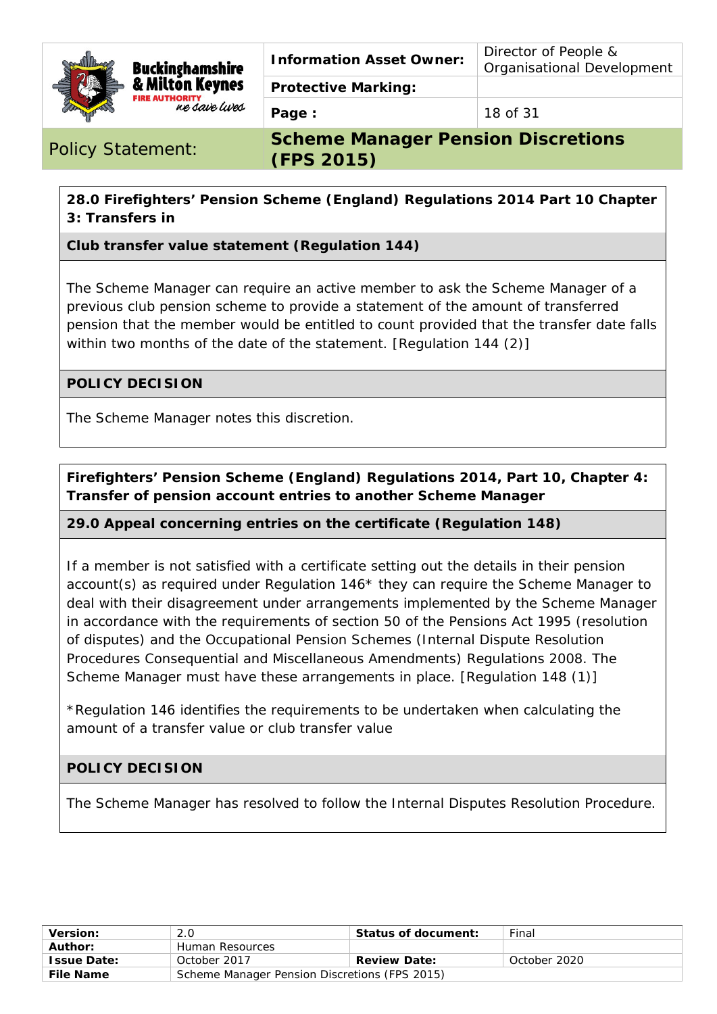

**Protective Marking:** 

Policy Statement: **Scheme Manager Pension Discretions (FPS 2015)**

# **28.0 Firefighters' Pension Scheme (England) Regulations 2014 Part 10 Chapter 3: Transfers in**

#### **Club transfer value statement (Regulation 144)**

The Scheme Manager can require an active member to ask the Scheme Manager of a previous club pension scheme to provide a statement of the amount of transferred pension that the member would be entitled to count provided that the transfer date falls within two months of the date of the statement. [Regulation 144 (2)]

#### **POLICY DECISION**

The Scheme Manager notes this discretion.

## **Firefighters' Pension Scheme (England) Regulations 2014, Part 10, Chapter 4: Transfer of pension account entries to another Scheme Manager**

### **29.0 Appeal concerning entries on the certificate (Regulation 148)**

If a member is not satisfied with a certificate setting out the details in their pension account(s) as required under Regulation 146\* they can require the Scheme Manager to deal with their disagreement under arrangements implemented by the Scheme Manager in accordance with the requirements of section 50 of the Pensions Act 1995 (resolution of disputes) and the Occupational Pension Schemes (Internal Dispute Resolution Procedures Consequential and Miscellaneous Amendments) Regulations 2008. The Scheme Manager must have these arrangements in place. [Regulation 148 (1)]

*\*Regulation 146 identifies the requirements to be undertaken when calculating the amount of a transfer value or club transfer value* 

### **POLICY DECISION**

The Scheme Manager has resolved to follow the Internal Disputes Resolution Procedure.

| Version:           | 2.0                                           | <b>Status of document:</b> | Final        |
|--------------------|-----------------------------------------------|----------------------------|--------------|
| Author:            | Human Resources                               |                            |              |
| <b>Issue Date:</b> | October 2017                                  | <b>Review Date:</b>        | October 2020 |
| <b>File Name</b>   | Scheme Manager Pension Discretions (FPS 2015) |                            |              |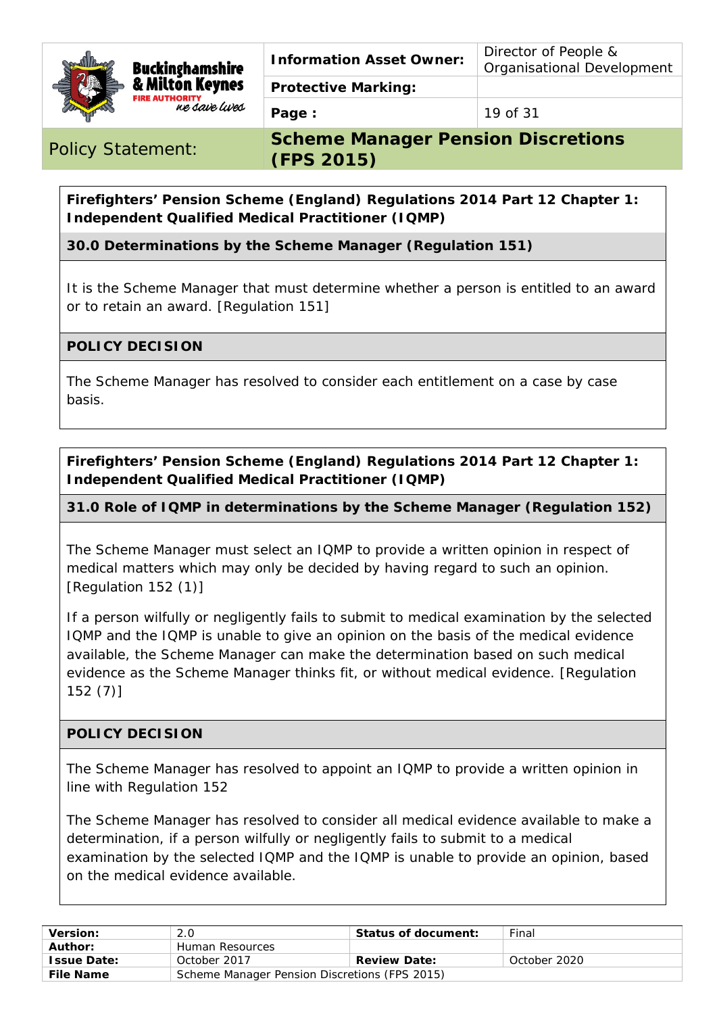

**Protective Marking:** 

Policy Statement: **Scheme Manager Pension Discretions (FPS 2015)**

# **Firefighters' Pension Scheme (England) Regulations 2014 Part 12 Chapter 1: Independent Qualified Medical Practitioner (IQMP)**

# **30.0 Determinations by the Scheme Manager (Regulation 151)**

It is the Scheme Manager that must determine whether a person is entitled to an award or to retain an award. [Regulation 151]

#### **POLICY DECISION**

The Scheme Manager has resolved to consider each entitlement on a case by case basis.

# **Firefighters' Pension Scheme (England) Regulations 2014 Part 12 Chapter 1: Independent Qualified Medical Practitioner (IQMP)**

### **31.0 Role of IQMP in determinations by the Scheme Manager (Regulation 152)**

The Scheme Manager must select an IQMP to provide a written opinion in respect of medical matters which may only be decided by having regard to such an opinion. [Regulation 152 (1)]

If a person wilfully or negligently fails to submit to medical examination by the selected IQMP and the IQMP is unable to give an opinion on the basis of the medical evidence available, the Scheme Manager can make the determination based on such medical evidence as the Scheme Manager thinks fit, or without medical evidence. [Regulation 152 (7)]

#### **POLICY DECISION**

The Scheme Manager has resolved to appoint an IQMP to provide a written opinion in line with Regulation 152

The Scheme Manager has resolved to consider all medical evidence available to make a determination, if a person wilfully or negligently fails to submit to a medical examination by the selected IQMP and the IQMP is unable to provide an opinion, based on the medical evidence available.

| <b>Version:</b>    | 2.0                                           | Status of document: | Final        |
|--------------------|-----------------------------------------------|---------------------|--------------|
| Author:            | Human Resources                               |                     |              |
| <b>Issue Date:</b> | October 2017                                  | <b>Review Date:</b> | October 2020 |
| <b>File Name</b>   | Scheme Manager Pension Discretions (FPS 2015) |                     |              |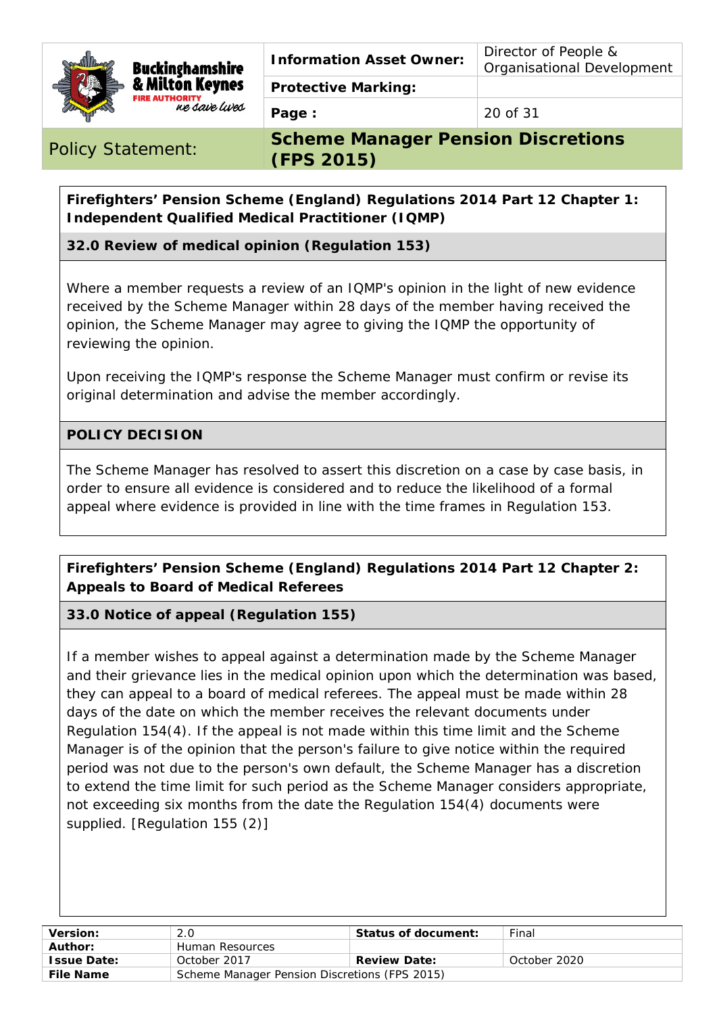

**Information Asset Owner: Director of People &** 

**Protective Marking:** 

Organisational Development

Policy Statement: **Scheme Manager Pension Discretions (FPS 2015)**

**Firefighters' Pension Scheme (England) Regulations 2014 Part 12 Chapter 1: Independent Qualified Medical Practitioner (IQMP)** 

**32.0 Review of medical opinion (Regulation 153)** 

**IORITY**<br>ne save lives

Where a member requests a review of an IQMP's opinion in the light of new evidence received by the Scheme Manager within 28 days of the member having received the opinion, the Scheme Manager may agree to giving the IQMP the opportunity of reviewing the opinion.

Upon receiving the IQMP's response the Scheme Manager must confirm or revise its original determination and advise the member accordingly.

# **POLICY DECISION**

The Scheme Manager has resolved to assert this discretion on a case by case basis, in order to ensure all evidence is considered and to reduce the likelihood of a formal appeal where evidence is provided in line with the time frames in Regulation 153.

**Firefighters' Pension Scheme (England) Regulations 2014 Part 12 Chapter 2: Appeals to Board of Medical Referees** 

**33.0 Notice of appeal (Regulation 155)** 

If a member wishes to appeal against a determination made by the Scheme Manager and their grievance lies in the medical opinion upon which the determination was based, they can appeal to a board of medical referees. The appeal must be made within 28 days of the date on which the member receives the relevant documents under Regulation 154(4). If the appeal is not made within this time limit and the Scheme Manager is of the opinion that the person's failure to give notice within the required period was not due to the person's own default, the Scheme Manager has a discretion to extend the time limit for such period as the Scheme Manager considers appropriate, not exceeding six months from the date the Regulation 154(4) documents were supplied. [Regulation 155 (2)]

| <b>Version:</b>    | 2.0                                           | Status of document: | Final        |
|--------------------|-----------------------------------------------|---------------------|--------------|
| Author:            | Human Resources                               |                     |              |
| <b>Issue Date:</b> | October 2017                                  | <b>Review Date:</b> | October 2020 |
| <b>File Name</b>   | Scheme Manager Pension Discretions (FPS 2015) |                     |              |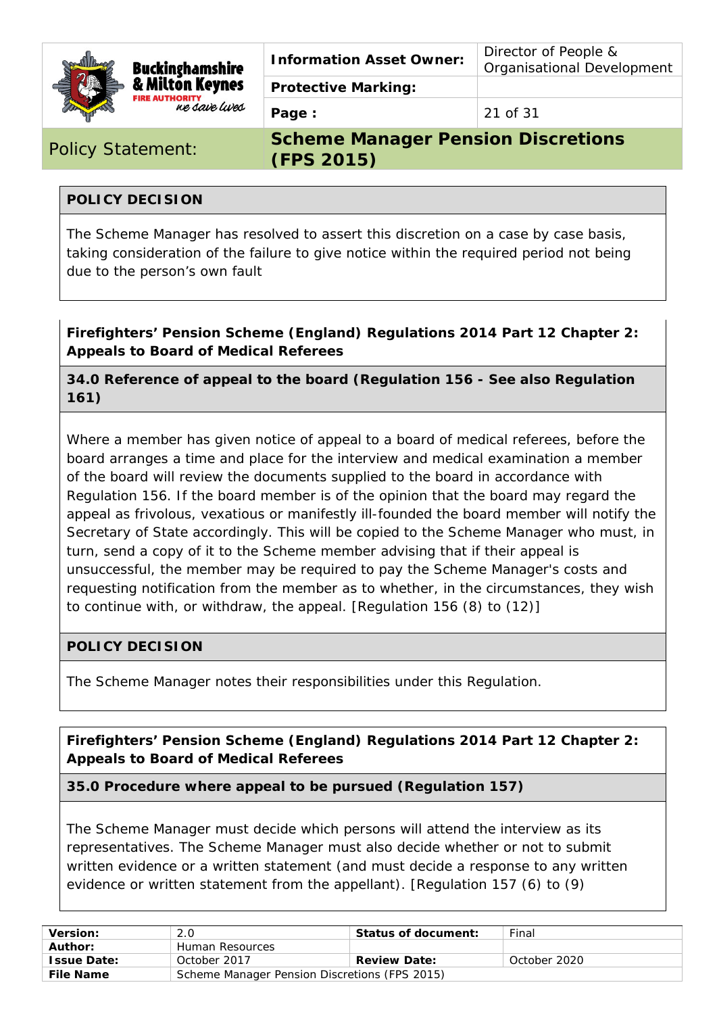

**Information Asset Owner:** Director of People & Organisational Development

**Protective Marking:** 

**Page :** 21 of 31

Policy Statement: **Scheme Manager Pension Discretions (FPS 2015)**

# **POLICY DECISION**

The Scheme Manager has resolved to assert this discretion on a case by case basis, taking consideration of the failure to give notice within the required period not being due to the person's own fault

# **Firefighters' Pension Scheme (England) Regulations 2014 Part 12 Chapter 2: Appeals to Board of Medical Referees**

**34.0 Reference of appeal to the board (Regulation 156 - See also Regulation 161)** 

Where a member has given notice of appeal to a board of medical referees, before the board arranges a time and place for the interview and medical examination a member of the board will review the documents supplied to the board in accordance with Regulation 156. If the board member is of the opinion that the board may regard the appeal as frivolous, vexatious or manifestly ill-founded the board member will notify the Secretary of State accordingly. This will be copied to the Scheme Manager who must, in turn, send a copy of it to the Scheme member advising that if their appeal is unsuccessful, the member may be required to pay the Scheme Manager's costs and requesting notification from the member as to whether, in the circumstances, they wish to continue with, or withdraw, the appeal. [Regulation 156 (8) to (12)]

### **POLICY DECISION**

The Scheme Manager notes their responsibilities under this Regulation.

**Firefighters' Pension Scheme (England) Regulations 2014 Part 12 Chapter 2: Appeals to Board of Medical Referees** 

**35.0 Procedure where appeal to be pursued (Regulation 157)** 

The Scheme Manager must decide which persons will attend the interview as its representatives. The Scheme Manager must also decide whether or not to submit written evidence or a written statement (and must decide a response to any written evidence or written statement from the appellant). [Regulation 157 (6) to (9)

| <b>Version:</b>    | 2.0                                           | <b>Status of document:</b> | Final        |
|--------------------|-----------------------------------------------|----------------------------|--------------|
| Author:            | Human Resources                               |                            |              |
| <b>Issue Date:</b> | October 2017                                  | <b>Review Date:</b>        | October 2020 |
| <b>File Name</b>   | Scheme Manager Pension Discretions (FPS 2015) |                            |              |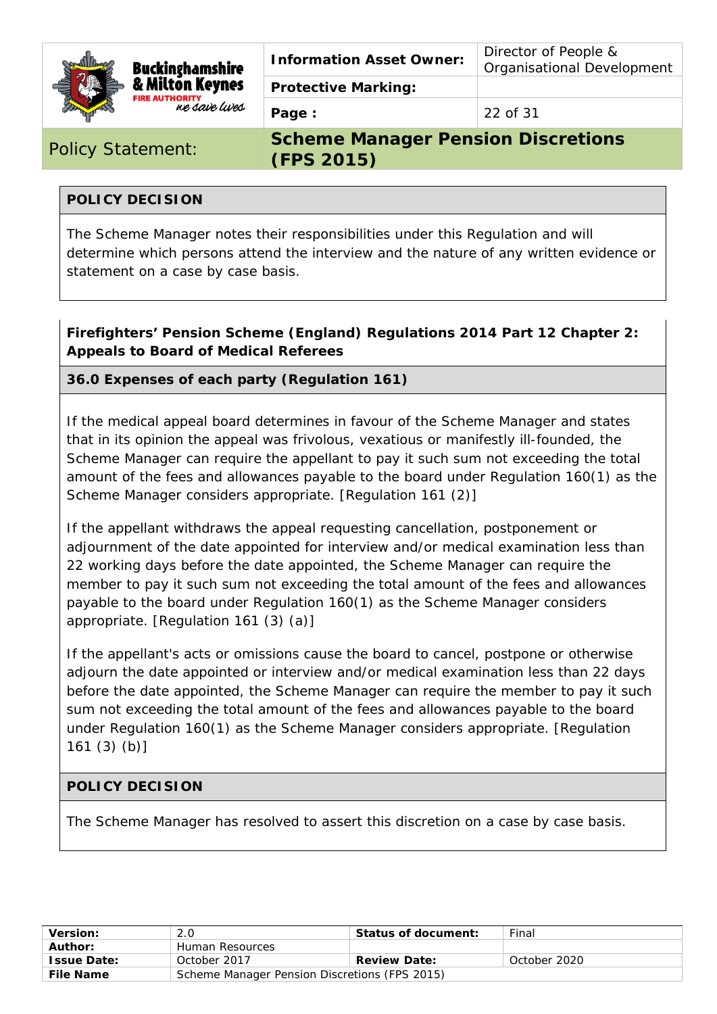

**Information Asset Owner:** Director of People &

Organisational Development

**Protective Marking:** 

**Page :** 22 of 31

Policy Statement: **Scheme Manager Pension Discretions (FPS 2015)**

# **POLICY DECISION**

The Scheme Manager notes their responsibilities under this Regulation and will determine which persons attend the interview and the nature of any written evidence or statement on a case by case basis.

# **Firefighters' Pension Scheme (England) Regulations 2014 Part 12 Chapter 2: Appeals to Board of Medical Referees**

# **36.0 Expenses of each party (Regulation 161)**

<mark>IORITY</mark><br>Ke *Saire Lures* 

If the medical appeal board determines in favour of the Scheme Manager and states that in its opinion the appeal was frivolous, vexatious or manifestly ill-founded, the Scheme Manager can require the appellant to pay it such sum not exceeding the total amount of the fees and allowances payable to the board under Regulation 160(1) as the Scheme Manager considers appropriate. [Regulation 161 (2)]

If the appellant withdraws the appeal requesting cancellation, postponement or adjournment of the date appointed for interview and/or medical examination less than 22 working days before the date appointed, the Scheme Manager can require the member to pay it such sum not exceeding the total amount of the fees and allowances payable to the board under Regulation 160(1) as the Scheme Manager considers appropriate. [Regulation 161 (3) (a)]

If the appellant's acts or omissions cause the board to cancel, postpone or otherwise adjourn the date appointed or interview and/or medical examination less than 22 days before the date appointed, the Scheme Manager can require the member to pay it such sum not exceeding the total amount of the fees and allowances payable to the board under Regulation 160(1) as the Scheme Manager considers appropriate. [Regulation 161 (3) (b)]

### **POLICY DECISION**

The Scheme Manager has resolved to assert this discretion on a case by case basis.

| Version:           | 2.0                                           | Status of document: | Final        |
|--------------------|-----------------------------------------------|---------------------|--------------|
| Author:            | Human Resources                               |                     |              |
| <b>Issue Date:</b> | October 2017                                  | <b>Review Date:</b> | October 2020 |
| <b>File Name</b>   | Scheme Manager Pension Discretions (FPS 2015) |                     |              |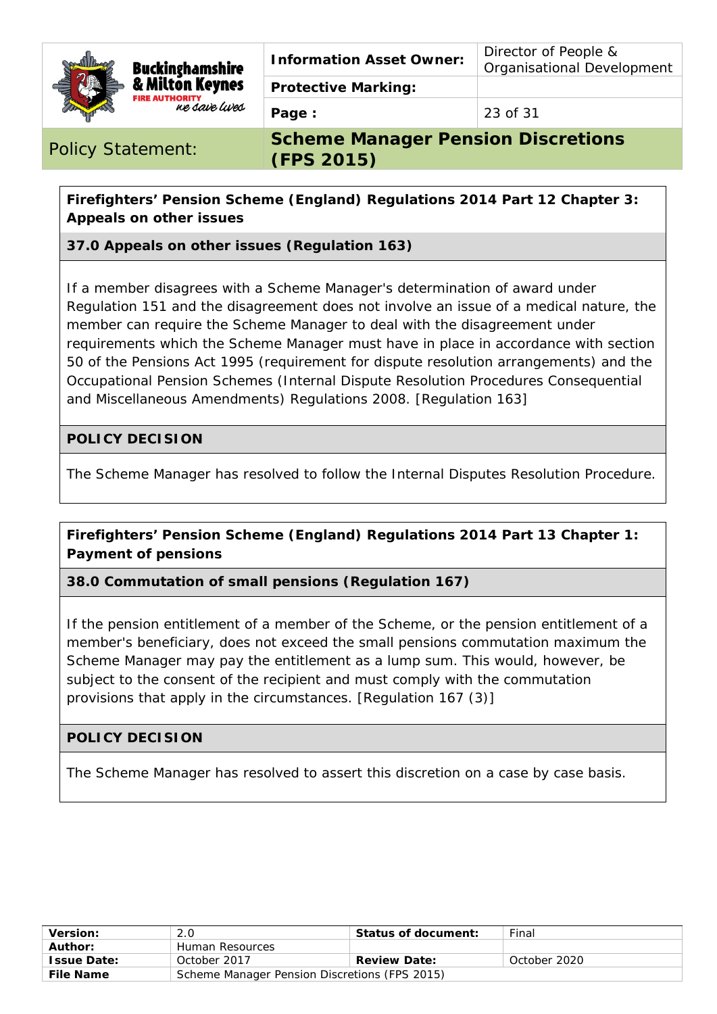

**Information Asset Owner: Director of People &** 

Organisational Development

**Protective Marking:** 

Policy Statement: **Scheme Manager Pension Discretions (FPS 2015)**

# **Firefighters' Pension Scheme (England) Regulations 2014 Part 12 Chapter 3: Appeals on other issues**

**37.0 Appeals on other issues (Regulation 163)** 

If a member disagrees with a Scheme Manager's determination of award under Regulation 151 and the disagreement does not involve an issue of a medical nature, the member can require the Scheme Manager to deal with the disagreement under requirements which the Scheme Manager must have in place in accordance with section 50 of the Pensions Act 1995 (requirement for dispute resolution arrangements) and the Occupational Pension Schemes (Internal Dispute Resolution Procedures Consequential and Miscellaneous Amendments) Regulations 2008. [Regulation 163]

# **POLICY DECISION**

The Scheme Manager has resolved to follow the Internal Disputes Resolution Procedure.

# **Firefighters' Pension Scheme (England) Regulations 2014 Part 13 Chapter 1: Payment of pensions**

**38.0 Commutation of small pensions (Regulation 167)** 

If the pension entitlement of a member of the Scheme, or the pension entitlement of a member's beneficiary, does not exceed the small pensions commutation maximum the Scheme Manager may pay the entitlement as a lump sum. This would, however, be subject to the consent of the recipient and must comply with the commutation provisions that apply in the circumstances. [Regulation 167 (3)]

# **POLICY DECISION**

The Scheme Manager has resolved to assert this discretion on a case by case basis.

| <b>Version:</b>    | 2.0                                           | Status of document: | Final        |
|--------------------|-----------------------------------------------|---------------------|--------------|
| Author:            | Human Resources                               |                     |              |
| <b>Issue Date:</b> | October 2017                                  | <b>Review Date:</b> | October 2020 |
| <b>File Name</b>   | Scheme Manager Pension Discretions (FPS 2015) |                     |              |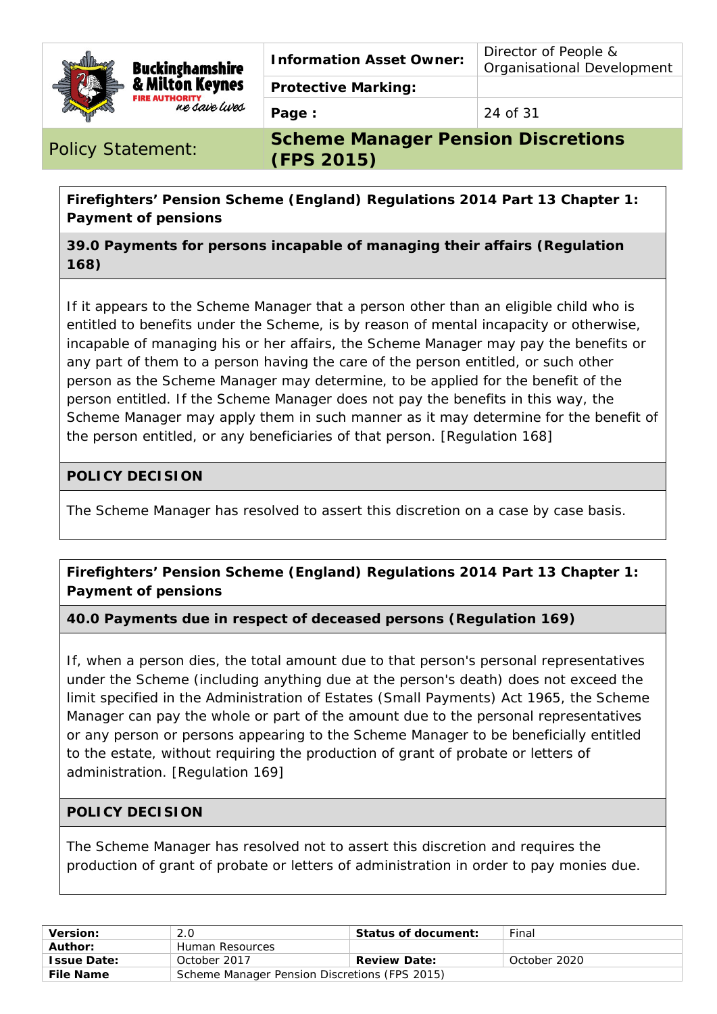|  | <b>Buckinghamshire</b><br>& Milton Keynes<br>ne save lives | <b>Information Asset Owner:</b> | Director of People &<br>Organisational Development |
|--|------------------------------------------------------------|---------------------------------|----------------------------------------------------|
|  |                                                            | <b>Protective Marking:</b>      |                                                    |
|  |                                                            | Page:                           | 24 of 31                                           |

**Policy Statement:** 

|            |  | <b>Scheme Manager Pension Discretions</b> |
|------------|--|-------------------------------------------|
| (FPS 2015) |  |                                           |

**Firefighters' Pension Scheme (England) Regulations 2014 Part 13 Chapter 1: Payment of pensions** 

**39.0 Payments for persons incapable of managing their affairs (Regulation 168)** 

If it appears to the Scheme Manager that a person other than an eligible child who is entitled to benefits under the Scheme, is by reason of mental incapacity or otherwise, incapable of managing his or her affairs, the Scheme Manager may pay the benefits or any part of them to a person having the care of the person entitled, or such other person as the Scheme Manager may determine, to be applied for the benefit of the person entitled. If the Scheme Manager does not pay the benefits in this way, the Scheme Manager may apply them in such manner as it may determine for the benefit of the person entitled, or any beneficiaries of that person. [Regulation 168]

### **POLICY DECISION**

The Scheme Manager has resolved to assert this discretion on a case by case basis.

**Firefighters' Pension Scheme (England) Regulations 2014 Part 13 Chapter 1: Payment of pensions** 

### **40.0 Payments due in respect of deceased persons (Regulation 169)**

If, when a person dies, the total amount due to that person's personal representatives under the Scheme (including anything due at the person's death) does not exceed the limit specified in the Administration of Estates (Small Payments) Act 1965, the Scheme Manager can pay the whole or part of the amount due to the personal representatives or any person or persons appearing to the Scheme Manager to be beneficially entitled to the estate, without requiring the production of grant of probate or letters of administration. [Regulation 169]

### **POLICY DECISION**

The Scheme Manager has resolved not to assert this discretion and requires the production of grant of probate or letters of administration in order to pay monies due.

| Version:           | 2.0                                           | Status of document: | Final        |
|--------------------|-----------------------------------------------|---------------------|--------------|
| Author:            | Human Resources                               |                     |              |
| <b>Issue Date:</b> | October 2017                                  | <b>Review Date:</b> | October 2020 |
| <b>File Name</b>   | Scheme Manager Pension Discretions (FPS 2015) |                     |              |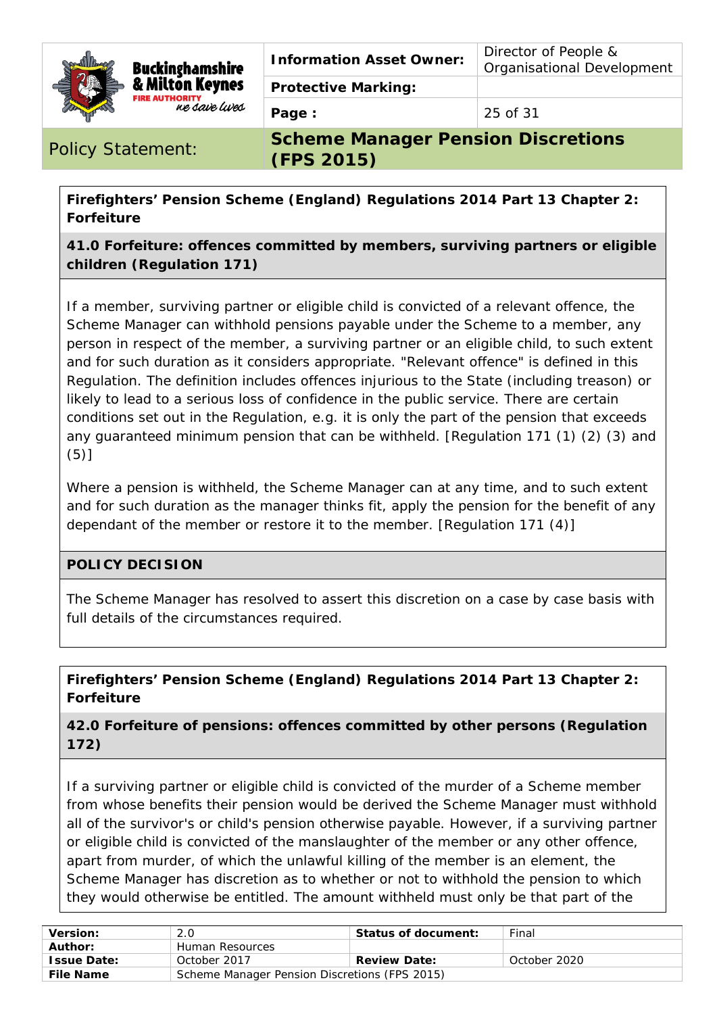|  | <b>Buckinghamshire</b><br>& Milton Keynes<br>ne save lives | <b>Information Asset Owner:</b> | Director of People &<br><b>Organisational Development</b> |
|--|------------------------------------------------------------|---------------------------------|-----------------------------------------------------------|
|  |                                                            | <b>Protective Marking:</b>      |                                                           |
|  |                                                            | Page:                           | 25 of 31                                                  |

**Firefighters' Pension Scheme (England) Regulations 2014 Part 13 Chapter 2: Forfeiture** 

**41.0 Forfeiture: offences committed by members, surviving partners or eligible children (Regulation 171)** 

If a member, surviving partner or eligible child is convicted of a relevant offence, the Scheme Manager can withhold pensions payable under the Scheme to a member, any person in respect of the member, a surviving partner or an eligible child, to such extent and for such duration as it considers appropriate. "Relevant offence" is defined in this Regulation. The definition includes offences injurious to the State (including treason) or likely to lead to a serious loss of confidence in the public service. There are certain conditions set out in the Regulation, e.g. it is only the part of the pension that exceeds any guaranteed minimum pension that can be withheld. [Regulation 171 (1) (2) (3) and (5)]

Where a pension is withheld, the Scheme Manager can at any time, and to such extent and for such duration as the manager thinks fit, apply the pension for the benefit of any dependant of the member or restore it to the member. [Regulation 171 (4)]

### **POLICY DECISION**

The Scheme Manager has resolved to assert this discretion on a case by case basis with full details of the circumstances required.

**Firefighters' Pension Scheme (England) Regulations 2014 Part 13 Chapter 2: Forfeiture** 

**42.0 Forfeiture of pensions: offences committed by other persons (Regulation 172)** 

If a surviving partner or eligible child is convicted of the murder of a Scheme member from whose benefits their pension would be derived the Scheme Manager must withhold all of the survivor's or child's pension otherwise payable. However, if a surviving partner or eligible child is convicted of the manslaughter of the member or any other offence, apart from murder, of which the unlawful killing of the member is an element, the Scheme Manager has discretion as to whether or not to withhold the pension to which they would otherwise be entitled. The amount withheld must only be that part of the

| Version:           | 2.0                                           | Status of document: | Final        |
|--------------------|-----------------------------------------------|---------------------|--------------|
| Author:            | Human Resources                               |                     |              |
| <b>Issue Date:</b> | October 2017                                  | <b>Review Date:</b> | October 2020 |
| <b>File Name</b>   | Scheme Manager Pension Discretions (FPS 2015) |                     |              |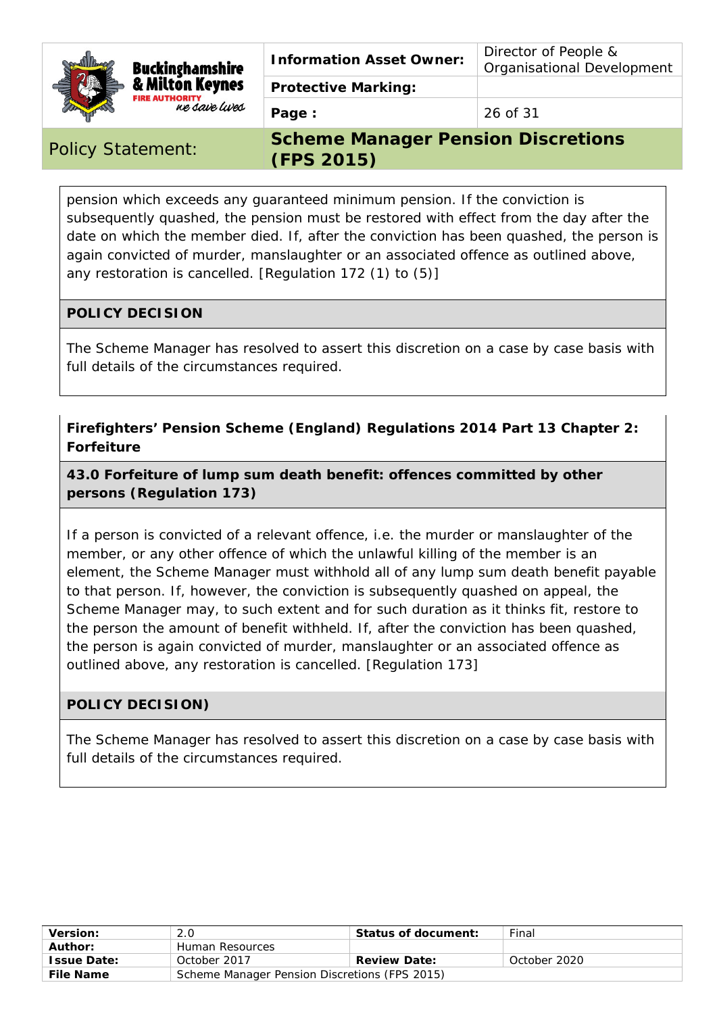

# **Buckinghamshire** & Milton Keynes <mark>IORITY</mark><br>Ke *Saire Lures*

**Protective Marking:** 

Organisational Development

**Page :** 26 of 31

Policy Statement: **Scheme Manager Pension Discretions (FPS 2015)**

pension which exceeds any guaranteed minimum pension. If the conviction is subsequently quashed, the pension must be restored with effect from the day after the date on which the member died. If, after the conviction has been quashed, the person is again convicted of murder, manslaughter or an associated offence as outlined above, any restoration is cancelled. [Regulation 172 (1) to (5)]

# **POLICY DECISION**

The Scheme Manager has resolved to assert this discretion on a case by case basis with full details of the circumstances required.

**Firefighters' Pension Scheme (England) Regulations 2014 Part 13 Chapter 2: Forfeiture** 

**43.0 Forfeiture of lump sum death benefit: offences committed by other persons (Regulation 173)** 

If a person is convicted of a relevant offence, i.e. the murder or manslaughter of the member, or any other offence of which the unlawful killing of the member is an element, the Scheme Manager must withhold all of any lump sum death benefit payable to that person. If, however, the conviction is subsequently quashed on appeal, the Scheme Manager may, to such extent and for such duration as it thinks fit, restore to the person the amount of benefit withheld. If, after the conviction has been quashed, the person is again convicted of murder, manslaughter or an associated offence as outlined above, any restoration is cancelled. [Regulation 173]

### **POLICY DECISION)**

The Scheme Manager has resolved to assert this discretion on a case by case basis with full details of the circumstances required.

| Version:           | 2.0                                           | Status of document: | Final        |
|--------------------|-----------------------------------------------|---------------------|--------------|
| Author:            | Human Resources                               |                     |              |
| <b>Issue Date:</b> | October 2017                                  | <b>Review Date:</b> | October 2020 |
| <b>File Name</b>   | Scheme Manager Pension Discretions (FPS 2015) |                     |              |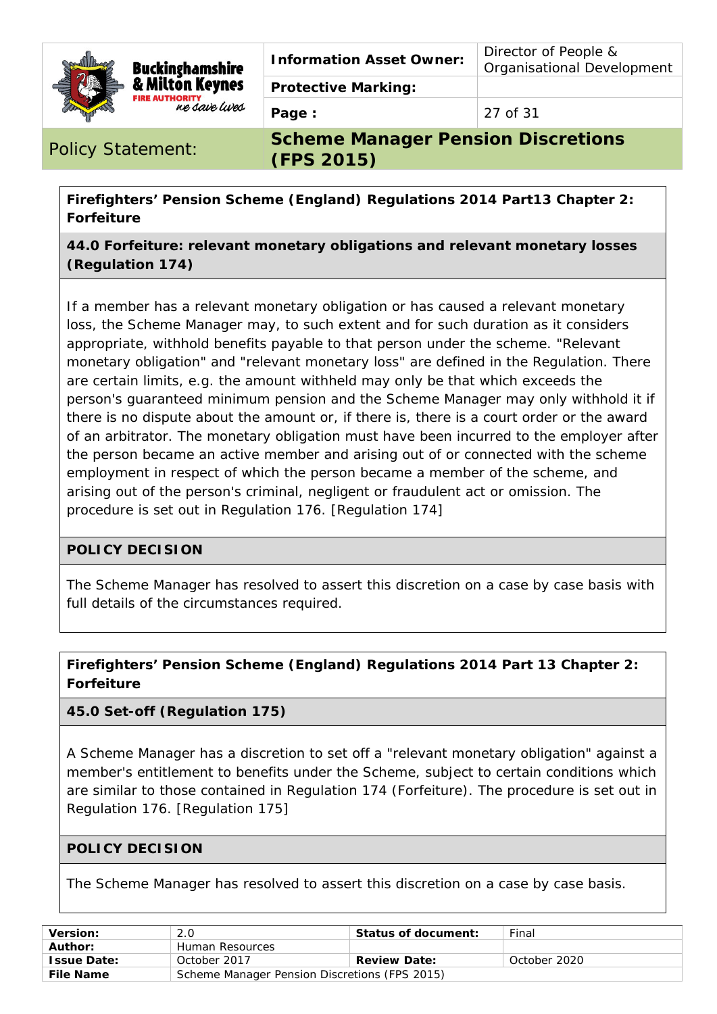|  | <b>Buckinghamshire</b><br>& Milton Keynes<br>ne save lives | <b>Information Asset Owner:</b> | Director of People &<br>Organisational Development |  |
|--|------------------------------------------------------------|---------------------------------|----------------------------------------------------|--|
|  |                                                            | <b>Protective Marking:</b>      |                                                    |  |
|  |                                                            | Page:                           | 27 of 31                                           |  |

**Policy Statement:** 

|            |  | <b>Scheme Manager Pension Discretions</b> |
|------------|--|-------------------------------------------|
| (FPS 2015) |  |                                           |

**Firefighters' Pension Scheme (England) Regulations 2014 Part13 Chapter 2: Forfeiture** 

**44.0 Forfeiture: relevant monetary obligations and relevant monetary losses (Regulation 174)** 

If a member has a relevant monetary obligation or has caused a relevant monetary loss, the Scheme Manager may, to such extent and for such duration as it considers appropriate, withhold benefits payable to that person under the scheme. "Relevant monetary obligation" and "relevant monetary loss" are defined in the Regulation. There are certain limits, e.g. the amount withheld may only be that which exceeds the person's guaranteed minimum pension and the Scheme Manager may only withhold it if there is no dispute about the amount or, if there is, there is a court order or the award of an arbitrator. The monetary obligation must have been incurred to the employer after the person became an active member and arising out of or connected with the scheme employment in respect of which the person became a member of the scheme, and arising out of the person's criminal, negligent or fraudulent act or omission. The procedure is set out in Regulation 176. [Regulation 174]

### **POLICY DECISION**

The Scheme Manager has resolved to assert this discretion on a case by case basis with full details of the circumstances required.

### **Firefighters' Pension Scheme (England) Regulations 2014 Part 13 Chapter 2: Forfeiture**

### **45.0 Set-off (Regulation 175)**

A Scheme Manager has a discretion to set off a "relevant monetary obligation" against a member's entitlement to benefits under the Scheme, subject to certain conditions which are similar to those contained in Regulation 174 (Forfeiture). The procedure is set out in Regulation 176. [Regulation 175]

### **POLICY DECISION**

The Scheme Manager has resolved to assert this discretion on a case by case basis.

| Version:           | 2.0                                           | Status of document: | Final        |
|--------------------|-----------------------------------------------|---------------------|--------------|
| Author:            | Human Resources                               |                     |              |
| <b>Issue Date:</b> | October 2017                                  | <b>Review Date:</b> | October 2020 |
| <b>File Name</b>   | Scheme Manager Pension Discretions (FPS 2015) |                     |              |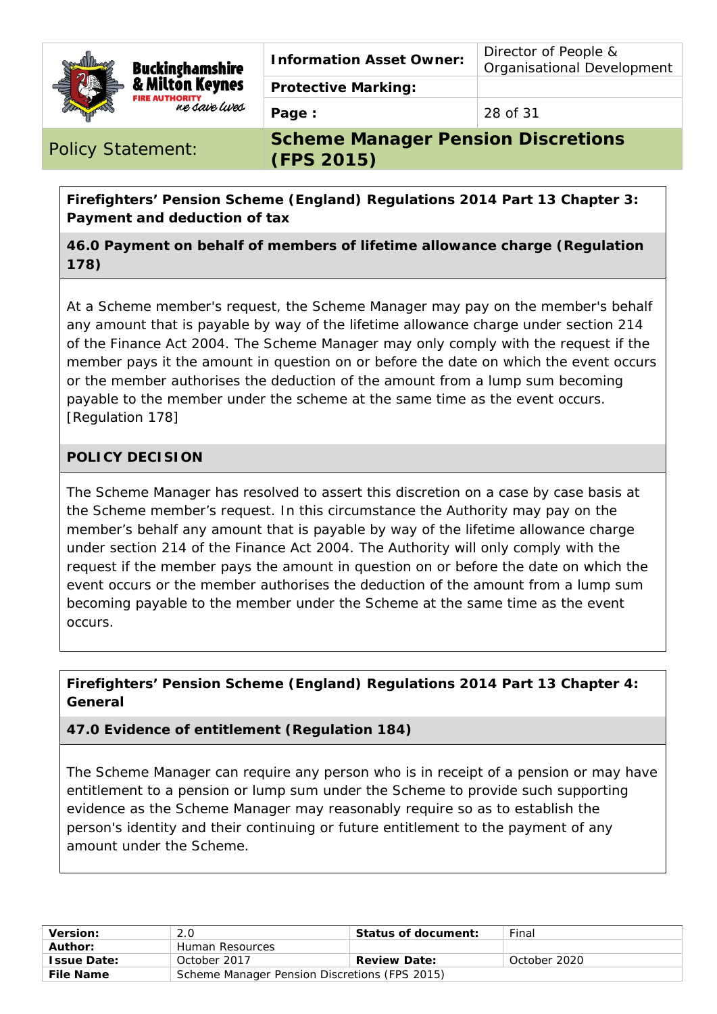|  | <b>Buckinghamshire</b><br>& Milton Keynes<br>ne save lives | <b>Information Asset Owner:</b> | Director of People &<br><b>Organisational Development</b> |
|--|------------------------------------------------------------|---------------------------------|-----------------------------------------------------------|
|  |                                                            | <b>Protective Marking:</b>      |                                                           |
|  |                                                            | Page:                           | 28 of 31                                                  |

**Firefighters' Pension Scheme (England) Regulations 2014 Part 13 Chapter 3: Payment and deduction of tax** 

**46.0 Payment on behalf of members of lifetime allowance charge (Regulation 178)** 

At a Scheme member's request, the Scheme Manager may pay on the member's behalf any amount that is payable by way of the lifetime allowance charge under section 214 of the Finance Act 2004. The Scheme Manager may only comply with the request if the member pays it the amount in question on or before the date on which the event occurs or the member authorises the deduction of the amount from a lump sum becoming payable to the member under the scheme at the same time as the event occurs. [Regulation 178]

### **POLICY DECISION**

The Scheme Manager has resolved to assert this discretion on a case by case basis at the Scheme member's request. In this circumstance the Authority may pay on the member's behalf any amount that is payable by way of the lifetime allowance charge under section 214 of the Finance Act 2004. The Authority will only comply with the request if the member pays the amount in question on or before the date on which the event occurs or the member authorises the deduction of the amount from a lump sum becoming payable to the member under the Scheme at the same time as the event occurs.

# **Firefighters' Pension Scheme (England) Regulations 2014 Part 13 Chapter 4: General**

**47.0 Evidence of entitlement (Regulation 184)** 

The Scheme Manager can require any person who is in receipt of a pension or may have entitlement to a pension or lump sum under the Scheme to provide such supporting evidence as the Scheme Manager may reasonably require so as to establish the person's identity and their continuing or future entitlement to the payment of any amount under the Scheme.

| <b>Version:</b>    | 2.0                                           | Status of document: | Final        |
|--------------------|-----------------------------------------------|---------------------|--------------|
| Author:            | Human Resources                               |                     |              |
| <b>Issue Date:</b> | October 2017                                  | <b>Review Date:</b> | October 2020 |
| File Name          | Scheme Manager Pension Discretions (FPS 2015) |                     |              |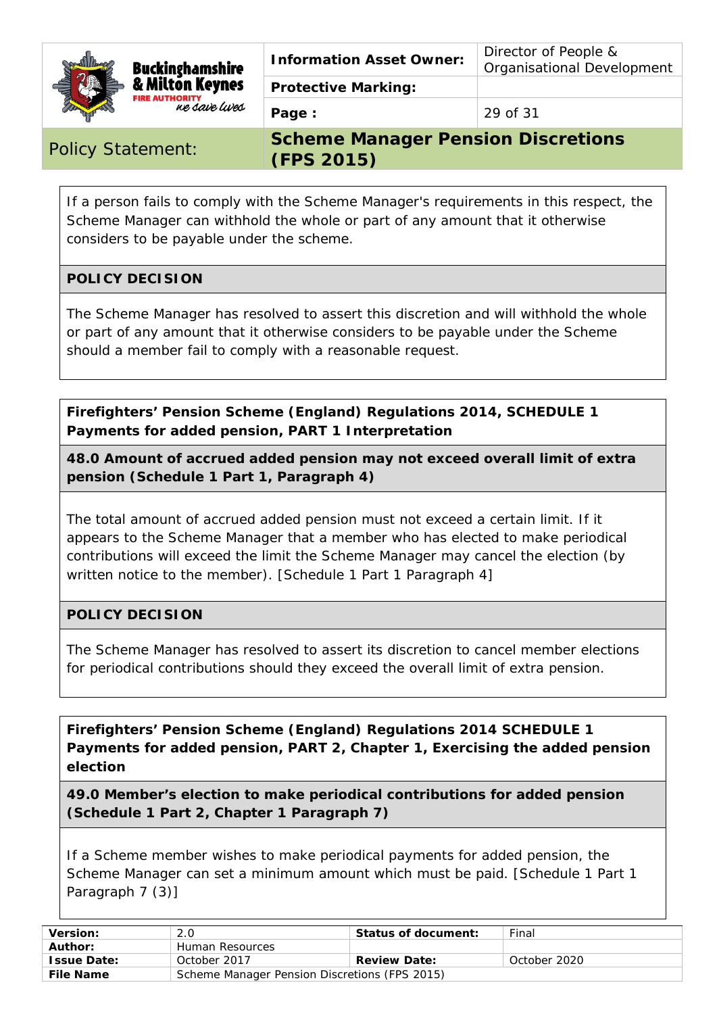

**Buckinghamshire** & Milton Keynes <mark>IORITY</mark><br>Ke *Saire Lures* 

**Protective Marking:** 

**Page :** 29 of 31

Policy Statement: **Scheme Manager Pension Discretions (FPS 2015)**

If a person fails to comply with the Scheme Manager's requirements in this respect, the Scheme Manager can withhold the whole or part of any amount that it otherwise considers to be payable under the scheme.

# **POLICY DECISION**

The Scheme Manager has resolved to assert this discretion and will withhold the whole or part of any amount that it otherwise considers to be payable under the Scheme should a member fail to comply with a reasonable request.

**Firefighters' Pension Scheme (England) Regulations 2014, SCHEDULE 1 Payments for added pension, PART 1 Interpretation** 

**48.0 Amount of accrued added pension may not exceed overall limit of extra pension (Schedule 1 Part 1, Paragraph 4)** 

The total amount of accrued added pension must not exceed a certain limit. If it appears to the Scheme Manager that a member who has elected to make periodical contributions will exceed the limit the Scheme Manager may cancel the election (by written notice to the member). [Schedule 1 Part 1 Paragraph 4]

### **POLICY DECISION**

The Scheme Manager has resolved to assert its discretion to cancel member elections for periodical contributions should they exceed the overall limit of extra pension.

**Firefighters' Pension Scheme (England) Regulations 2014 SCHEDULE 1 Payments for added pension, PART 2, Chapter 1, Exercising the added pension election** 

**49.0 Member's election to make periodical contributions for added pension (Schedule 1 Part 2, Chapter 1 Paragraph 7)** 

If a Scheme member wishes to make periodical payments for added pension, the Scheme Manager can set a minimum amount which must be paid. [Schedule 1 Part 1 Paragraph 7 (3)]

| Version:           | 2.0                                           | Status of document: | Final        |
|--------------------|-----------------------------------------------|---------------------|--------------|
| Author:            | Human Resources                               |                     |              |
| <b>Issue Date:</b> | October 2017                                  | <b>Review Date:</b> | October 2020 |
| <b>File Name</b>   | Scheme Manager Pension Discretions (FPS 2015) |                     |              |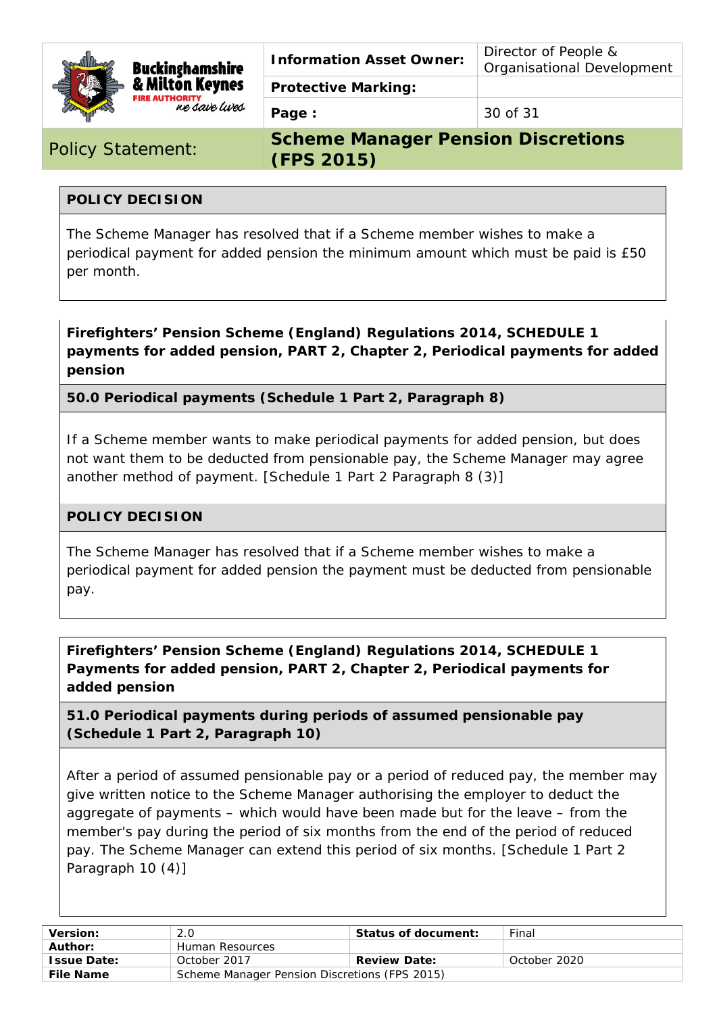

**Information Asset Owner:** Director of People & Organisational Development

**Protective Marking:** 

**Page :**  $\begin{array}{|c|c|c|c|c|} \hline \textbf{20 of 31} \end{array}$ 

Policy Statement: **Scheme Manager Pension Discretions (FPS 2015)**

# **POLICY DECISION**

The Scheme Manager has resolved that if a Scheme member wishes to make a periodical payment for added pension the minimum amount which must be paid is £50 per month.

# **Firefighters' Pension Scheme (England) Regulations 2014, SCHEDULE 1 payments for added pension, PART 2, Chapter 2, Periodical payments for added pension**

**50.0 Periodical payments (Schedule 1 Part 2, Paragraph 8)** 

If a Scheme member wants to make periodical payments for added pension, but does not want them to be deducted from pensionable pay, the Scheme Manager may agree another method of payment. [Schedule 1 Part 2 Paragraph 8 (3)]

### **POLICY DECISION**

The Scheme Manager has resolved that if a Scheme member wishes to make a periodical payment for added pension the payment must be deducted from pensionable pay.

**Firefighters' Pension Scheme (England) Regulations 2014, SCHEDULE 1 Payments for added pension, PART 2, Chapter 2, Periodical payments for added pension** 

**51.0 Periodical payments during periods of assumed pensionable pay (Schedule 1 Part 2, Paragraph 10)** 

After a period of assumed pensionable pay or a period of reduced pay, the member may give written notice to the Scheme Manager authorising the employer to deduct the aggregate of payments – which would have been made but for the leave – from the member's pay during the period of six months from the end of the period of reduced pay. The Scheme Manager can extend this period of six months. [Schedule 1 Part 2 Paragraph 10 (4)]

| <b>Version:</b>    | 2.0                                           | Status of document: | Final        |
|--------------------|-----------------------------------------------|---------------------|--------------|
| Author:            | Human Resources                               |                     |              |
| <b>Issue Date:</b> | October 2017                                  | <b>Review Date:</b> | October 2020 |
| <b>File Name</b>   | Scheme Manager Pension Discretions (FPS 2015) |                     |              |